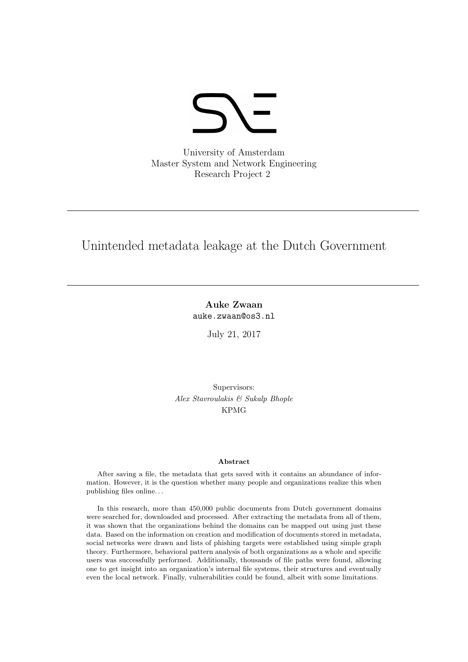

University of Amsterdam Master System and Network Engineering Research Project 2

# Unintended metadata leakage at the Dutch Government

Auke Zwaan auke.zwaan@os3.nl

July 21, 2017

Supervisors: Alex Stavroulakis & Sukalp Bhople KPMG

#### Abstract

After saving a file, the metadata that gets saved with it contains an abundance of information. However, it is the question whether many people and organizations realize this when publishing files online. . .

In this research, more than 450,000 public documents from Dutch government domains were searched for, downloaded and processed. After extracting the metadata from all of them, it was shown that the organizations behind the domains can be mapped out using just these data. Based on the information on creation and modification of documents stored in metadata, social networks were drawn and lists of phishing targets were established using simple graph theory. Furthermore, behavioral pattern analysis of both organizations as a whole and specific users was successfully performed. Additionally, thousands of file paths were found, allowing one to get insight into an organization's internal file systems, their structures and eventually even the local network. Finally, vulnerabilities could be found, albeit with some limitations.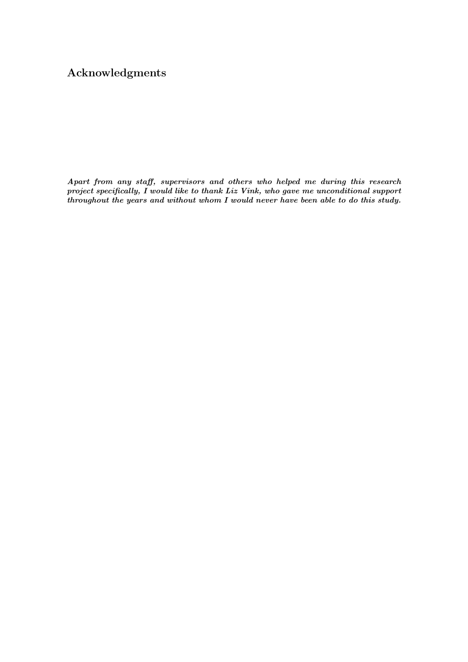## Acknowledgments

Apart from any staff, supervisors and others who helped me during this research project specifically, I would like to thank Liz Vink, who gave me unconditional support throughout the years and without whom I would never have been able to do this study.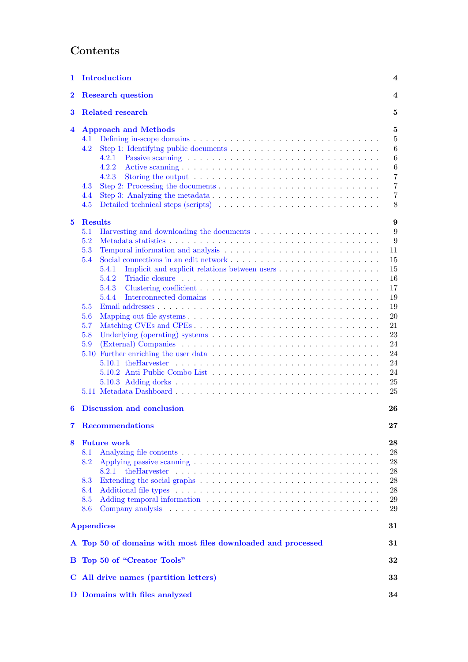# Contents

| 1             | <b>Introduction</b>                                                                                                                                                                                                                                                                                                               | 4                                                                                                           |  |  |
|---------------|-----------------------------------------------------------------------------------------------------------------------------------------------------------------------------------------------------------------------------------------------------------------------------------------------------------------------------------|-------------------------------------------------------------------------------------------------------------|--|--|
| $\bf{2}$      | <b>Research question</b>                                                                                                                                                                                                                                                                                                          |                                                                                                             |  |  |
| 3             | <b>Related research</b><br>5                                                                                                                                                                                                                                                                                                      |                                                                                                             |  |  |
| 4             | <b>Approach and Methods</b><br>4.1<br>4.2<br>4.2.1<br>4.2.2<br>4.2.3<br>Storing the output $\ldots \ldots \ldots \ldots \ldots \ldots \ldots \ldots \ldots \ldots$<br>4.3<br>4.4<br>4.5                                                                                                                                           | 5<br>5<br>6<br>6<br>6<br>7<br>7<br>7<br>8                                                                   |  |  |
| $\mathbf{5}$  | <b>Results</b><br>5.1<br>5.2<br>5.3<br>5.4<br>5.4.1<br>5.4.2<br>5.4.3<br>5.4.4<br>5.5<br>5.6<br>5.7<br>Matching CVEs and CPEs<br>5.8<br>Underlying (operating) systems $\dots \dots \dots \dots \dots \dots \dots \dots \dots \dots \dots \dots$<br>5.9                                                                           | 9<br>9<br>9<br>11<br>15<br>15<br>16<br>17<br>19<br>19<br>20<br>21<br>23<br>24<br>24<br>24<br>24<br>25<br>25 |  |  |
| 6             | <b>Discussion and conclusion</b><br>26                                                                                                                                                                                                                                                                                            |                                                                                                             |  |  |
| 7<br>8        | <b>Recommendations</b><br><b>Future work</b><br>8.1<br>8.2<br>8.2.1<br>8.3<br>8.4<br>8.5<br>8.6<br>Company analysis entering the service of the contract of the contract of the contract of the contract of the contract of the contract of the contract of the contract of the contract of the contract of the contract of the c | 27<br>28<br>28<br>28<br>28<br>28<br>28<br>29<br>29                                                          |  |  |
|               | <b>Appendices</b>                                                                                                                                                                                                                                                                                                                 | 31                                                                                                          |  |  |
|               | A Top 50 of domains with most files downloaded and processed                                                                                                                                                                                                                                                                      | 31                                                                                                          |  |  |
| в             | Top 50 of "Creator Tools"                                                                                                                                                                                                                                                                                                         | 32                                                                                                          |  |  |
| $\mathbf C^-$ | All drive names (partition letters)                                                                                                                                                                                                                                                                                               | 33                                                                                                          |  |  |
|               | D Domains with files analyzed                                                                                                                                                                                                                                                                                                     | 34                                                                                                          |  |  |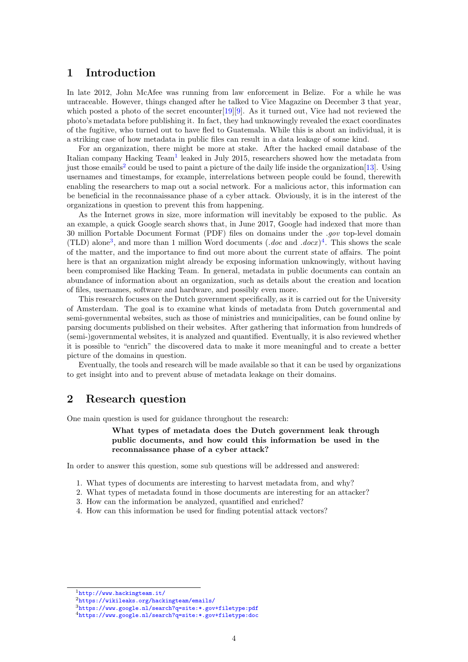## <span id="page-3-0"></span>1 Introduction

In late 2012, John McAfee was running from law enforcement in Belize. For a while he was untraceable. However, things changed after he talked to Vice Magazine on December 3 that year, which posted a photo of the secret encounter [\[19\]](#page-29-0) [\[9\]](#page-29-1). As it turned out, Vice had not reviewed the photo's metadata before publishing it. In fact, they had unknowingly revealed the exact coordinates of the fugitive, who turned out to have fled to Guatemala. While this is about an individual, it is a striking case of how metadata in public files can result in a data leakage of some kind.

For an organization, there might be more at stake. After the hacked email database of the Italian company Hacking Team<sup>[1](#page-3-2)</sup> leaked in July 2015, researchers showed how the metadata from just those emails<sup>[2](#page-3-3)</sup> could be used to paint a picture of the daily life inside the organization<sup>[\[13\]](#page-29-2)</sup>. Using usernames and timestamps, for example, interrelations between people could be found, therewith enabling the researchers to map out a social network. For a malicious actor, this information can be beneficial in the reconnaissance phase of a cyber attack. Obviously, it is in the interest of the organizations in question to prevent this from happening.

As the Internet grows in size, more information will inevitably be exposed to the public. As an example, a quick Google search shows that, in June 2017, Google had indexed that more than 30 million Portable Document Format (PDF) files on domains under the .gov top-level domain (TLD) alone<sup>[3](#page-3-4)</sup>, and more than 1 million Word documents  $( .doc$  and  $.docx )<sup>4</sup>$  $.docx )<sup>4</sup>$  $.docx )<sup>4</sup>$ . This shows the scale of the matter, and the importance to find out more about the current state of affairs. The point here is that an organization might already be exposing information unknowingly, without having been compromised like Hacking Team. In general, metadata in public documents can contain an abundance of information about an organization, such as details about the creation and location of files, usernames, software and hardware, and possibly even more.

This research focuses on the Dutch government specifically, as it is carried out for the University of Amsterdam. The goal is to examine what kinds of metadata from Dutch governmental and semi-governmental websites, such as those of ministries and municipalities, can be found online by parsing documents published on their websites. After gathering that information from hundreds of (semi-)governmental websites, it is analyzed and quantified. Eventually, it is also reviewed whether it is possible to "enrich" the discovered data to make it more meaningful and to create a better picture of the domains in question.

Eventually, the tools and research will be made available so that it can be used by organizations to get insight into and to prevent abuse of metadata leakage on their domains.

## <span id="page-3-1"></span>2 Research question

One main question is used for guidance throughout the research:

#### What types of metadata does the Dutch government leak through public documents, and how could this information be used in the reconnaissance phase of a cyber attack?

In order to answer this question, some sub questions will be addressed and answered:

- 1. What types of documents are interesting to harvest metadata from, and why?
- 2. What types of metadata found in those documents are interesting for an attacker?
- 3. How can the information be analyzed, quantified and enriched?
- 4. How can this information be used for finding potential attack vectors?

<span id="page-3-2"></span><sup>1</sup><http://www.hackingteam.it/>

<span id="page-3-3"></span><sup>2</sup><https://wikileaks.org/hackingteam/emails/>

<span id="page-3-4"></span><sup>3</sup>[https://www.google.nl/search?q=site:\\*.gov+filetype:pdf](https://www.google.nl/search?q=site:*.gov+filetype:pdf)

<span id="page-3-5"></span><sup>4</sup>[https://www.google.nl/search?q=site:\\*.gov+filetype:doc](https://www.google.nl/search?q=site:*.gov+filetype:doc)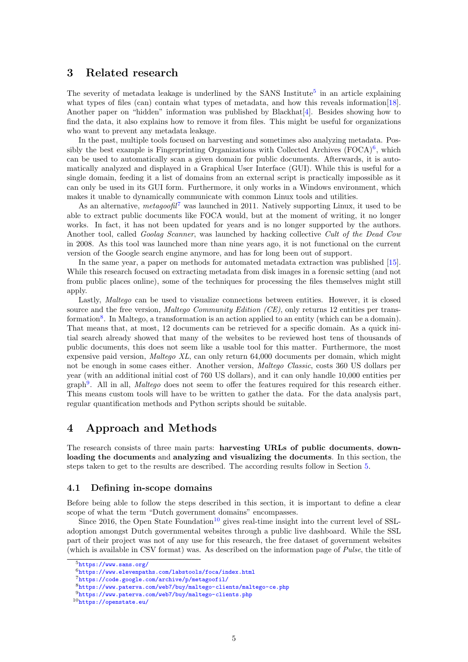## <span id="page-4-0"></span>3 Related research

The severity of metadata leakage is underlined by the SANS Institute<sup>[5](#page-4-3)</sup> in an article explaining what types of files (can) contain what types of metadata, and how this reveals information[\[18\]](#page-29-3). Another paper on "hidden" information was published by Blackhat[\[4\]](#page-29-4). Besides showing how to find the data, it also explains how to remove it from files. This might be useful for organizations who want to prevent any metadata leakage.

In the past, multiple tools focused on harvesting and sometimes also analyzing metadata. Possibly the best example is Fingerprinting Organizations with Collected Archives  $(FOCA)^6$  $(FOCA)^6$ , which can be used to automatically scan a given domain for public documents. Afterwards, it is automatically analyzed and displayed in a Graphical User Interface (GUI). While this is useful for a single domain, feeding it a list of domains from an external script is practically impossible as it can only be used in its GUI form. Furthermore, it only works in a Windows environment, which makes it unable to dynamically communicate with common Linux tools and utilities.

As an alternative, metagoofil<sup>[7](#page-4-5)</sup> was launched in 2011. Natively supporting Linux, it used to be able to extract public documents like FOCA would, but at the moment of writing, it no longer works. In fact, it has not been updated for years and is no longer supported by the authors. Another tool, called *Goolag Scanner*, was launched by hacking collective Cult of the Dead Cow in 2008. As this tool was launched more than nine years ago, it is not functional on the current version of the Google search engine anymore, and has for long been out of support.

In the same year, a paper on methods for automated metadata extraction was published [\[15\]](#page-29-5). While this research focused on extracting metadata from disk images in a forensic setting (and not from public places online), some of the techniques for processing the files themselves might still apply.

Lastly, *Maltego* can be used to visualize connections between entities. However, it is closed source and the free version, *Maltego Community Edition (CE)*, only returns 12 entities per trans-formation<sup>[8](#page-4-6)</sup>. In Maltego, a transformation is an action applied to an entity (which can be a domain). That means that, at most, 12 documents can be retrieved for a specific domain. As a quick initial search already showed that many of the websites to be reviewed host tens of thousands of public documents, this does not seem like a usable tool for this matter. Furthermore, the most expensive paid version, Maltego XL, can only return 64,000 documents per domain, which might not be enough in some cases either. Another version, Maltego Classic, costs 360 US dollars per year (with an additional initial cost of 760 US dollars), and it can only handle 10,000 entities per graph<sup>[9](#page-4-7)</sup>. All in all, *Maltego* does not seem to offer the features required for this research either. This means custom tools will have to be written to gather the data. For the data analysis part, regular quantification methods and Python scripts should be suitable.

## <span id="page-4-1"></span>4 Approach and Methods

The research consists of three main parts: harvesting URLs of public documents, downloading the documents and analyzing and visualizing the documents. In this section, the steps taken to get to the results are described. The according results follow in Section [5.](#page-8-0)

## <span id="page-4-2"></span>4.1 Defining in-scope domains

Before being able to follow the steps described in this section, it is important to define a clear scope of what the term "Dutch government domains" encompasses.

Since 2016, the Open State Foundation<sup>[10](#page-4-8)</sup> gives real-time insight into the current level of SSLadoption amongst Dutch governmental websites through a public live dashboard. While the SSL part of their project was not of any use for this research, the free dataset of government websites (which is available in CSV format) was. As described on the information page of Pulse, the title of

<span id="page-4-3"></span><sup>5</sup><https://www.sans.org/>

<span id="page-4-4"></span> $6$ <https://www.elevenpaths.com/labstools/foca/index.html>

<span id="page-4-5"></span><sup>7</sup><https://code.google.com/archive/p/metagoofil/>

<span id="page-4-6"></span><sup>8</sup><https://www.paterva.com/web7/buy/maltego-clients/maltego-ce.php>

<span id="page-4-7"></span> $9$ <https://www.paterva.com/web7/buy/maltego-clients.php>

<span id="page-4-8"></span><sup>10</sup><https://openstate.eu/>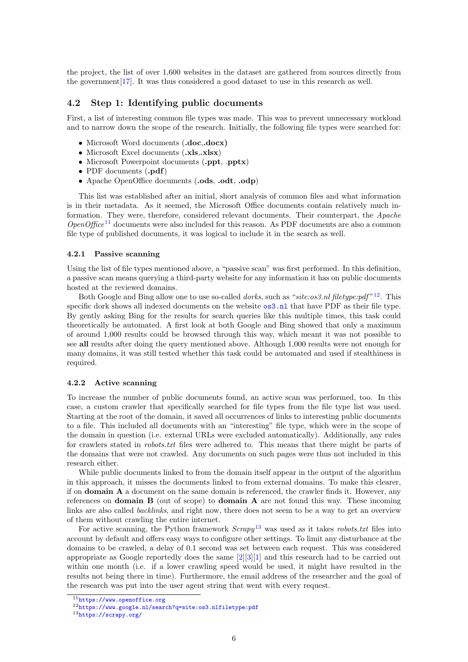the project, the list of over 1,600 websites in the dataset are gathered from sources directly from the government[\[17\]](#page-29-6). It was thus considered a good dataset to use in this research as well.

#### <span id="page-5-0"></span>4.2 Step 1: Identifying public documents

First, a list of interesting common file types was made. This was to prevent unnecessary workload and to narrow down the scope of the research. Initially, the following file types were searched for:

- Microsoft Word documents (.doc,.docx)
- Microsoft Excel documents (.xls..xlsx)
- Microsoft Powerpoint documents (.ppt, .pptx)
- PDF documents (.pdf)
- Apache OpenOffice documents (.ods, .odt, .odp)

This list was established after an initial, short analysis of common files and what information is in their metadata. As it seemed, the Microsoft Office documents contain relatively much information. They were, therefore, considered relevant documents. Their counterpart, the Apache  $OpenOffice<sup>11</sup>$  $OpenOffice<sup>11</sup>$  $OpenOffice<sup>11</sup>$  documents were also included for this reason. As PDF documents are also a common file type of published documents, it was logical to include it in the search as well.

#### <span id="page-5-1"></span>4.2.1 Passive scanning

Using the list of file types mentioned above, a "passive scan" was first performed. In this definition, a passive scan means querying a third-party website for any information it has on public documents hosted at the reviewed domains.

Both Google and Bing allow one to use so-called *dorks*, such as "site:os3.nl filetype:pdf"<sup>[12](#page-5-4)</sup>. This specific dork shows all indexed documents on the website  $\circ$ s3.nl that have PDF as their file type. By gently asking Bing for the results for search queries like this multiple times, this task could theoretically be automated. A first look at both Google and Bing showed that only a maximum of around 1,000 results could be browsed through this way, which meant it was not possible to see all results after doing the query mentioned above. Although 1,000 results were not enough for many domains, it was still tested whether this task could be automated and used if stealthiness is required.

#### <span id="page-5-2"></span>4.2.2 Active scanning

To increase the number of public documents found, an active scan was performed, too. In this case, a custom crawler that specifically searched for file types from the file type list was used. Starting at the root of the domain, it saved all occurrences of links to interesting public documents to a file. This included all documents with an "interesting" file type, which were in the scope of the domain in question (i.e. external URLs were excluded automatically). Additionally, any rules for crawlers stated in *robots.txt* files were adhered to. This means that there might be parts of the domains that were not crawled. Any documents on such pages were thus not included in this research either.

While public documents linked to from the domain itself appear in the output of the algorithm in this approach, it misses the documents linked to from external domains. To make this clearer, if on domain A a document on the same domain is referenced, the crawler finds it. However, any references on **domain B** (out of scope) to **domain A** are not found this way. These incoming links are also called *backlinks*, and right now, there does not seem to be a way to get an overview of them without crawling the entire internet.

For active scanning, the Python framework  $Scray^{13}$  $Scray^{13}$  $Scray^{13}$  was used as it takes *robots.txt* files into account by default and offers easy ways to configure other settings. To limit any disturbance at the domains to be crawled, a delay of 0.1 second was set between each request. This was considered appropriate as Google reportedly does the same  $[2][3][1]$  $[2][3][1]$  $[2][3][1]$  and this research had to be carried out within one month (i.e. if a lower crawling speed would be used, it might have resulted in the results not being there in time). Furthermore, the email address of the researcher and the goal of the research was put into the user agent string that went with every request.

<span id="page-5-3"></span><sup>11</sup><https://www.openoffice.org>

<span id="page-5-4"></span><sup>12</sup>[https://www.google.nl/search?q=site:os3.nlfiletype:pdf](https://www.google.nl/search?q=site:os3.nl filetype:pdf)

<span id="page-5-5"></span><sup>13</sup><https://scrapy.org/>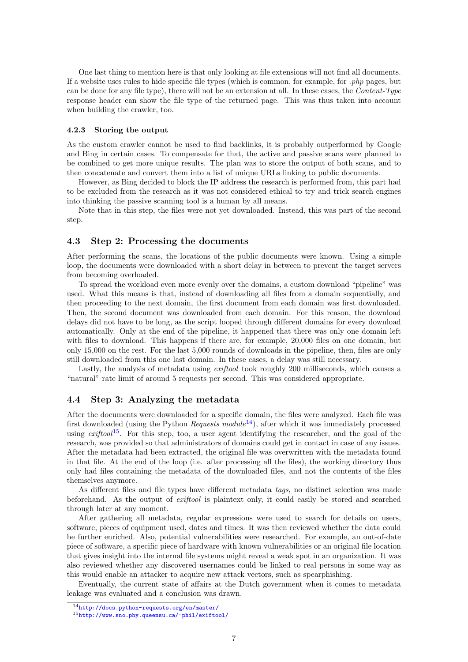One last thing to mention here is that only looking at file extensions will not find all documents. If a website uses rules to hide specific file types (which is common, for example, for .php pages, but can be done for any file type), there will not be an extension at all. In these cases, the Content-Type response header can show the file type of the returned page. This was thus taken into account when building the crawler, too.

#### <span id="page-6-0"></span>4.2.3 Storing the output

As the custom crawler cannot be used to find backlinks, it is probably outperformed by Google and Bing in certain cases. To compensate for that, the active and passive scans were planned to be combined to get more unique results. The plan was to store the output of both scans, and to then concatenate and convert them into a list of unique URLs linking to public documents.

However, as Bing decided to block the IP address the research is performed from, this part had to be excluded from the research as it was not considered ethical to try and trick search engines into thinking the passive scanning tool is a human by all means.

Note that in this step, the files were not yet downloaded. Instead, this was part of the second step.

#### <span id="page-6-1"></span>4.3 Step 2: Processing the documents

After performing the scans, the locations of the public documents were known. Using a simple loop, the documents were downloaded with a short delay in between to prevent the target servers from becoming overloaded.

To spread the workload even more evenly over the domains, a custom download "pipeline" was used. What this means is that, instead of downloading all files from a domain sequentially, and then proceeding to the next domain, the first document from each domain was first downloaded. Then, the second document was downloaded from each domain. For this reason, the download delays did not have to be long, as the script looped through different domains for every download automatically. Only at the end of the pipeline, it happened that there was only one domain left with files to download. This happens if there are, for example, 20,000 files on one domain, but only 15,000 on the rest. For the last 5,000 rounds of downloads in the pipeline, then, files are only still downloaded from this one last domain. In these cases, a delay was still necessary.

Lastly, the analysis of metadata using *exiftool* took roughly 200 milliseconds, which causes a "natural" rate limit of around 5 requests per second. This was considered appropriate.

#### <span id="page-6-2"></span>4.4 Step 3: Analyzing the metadata

After the documents were downloaded for a specific domain, the files were analyzed. Each file was first downloaded (using the Python Requests module<sup>[14](#page-6-3)</sup>), after which it was immediately processed using  $exiftool$ <sup>[15](#page-6-4)</sup>. For this step, too, a user agent identifying the researcher, and the goal of the research, was provided so that administrators of domains could get in contact in case of any issues. After the metadata had been extracted, the original file was overwritten with the metadata found in that file. At the end of the loop (i.e. after processing all the files), the working directory thus only had files containing the metadata of the downloaded files, and not the contents of the files themselves anymore.

As different files and file types have different metadata tags, no distinct selection was made beforehand. As the output of exiftool is plaintext only, it could easily be stored and searched through later at any moment.

After gathering all metadata, regular expressions were used to search for details on users, software, pieces of equipment used, dates and times. It was then reviewed whether the data could be further enriched. Also, potential vulnerabilities were researched. For example, an out-of-date piece of software, a specific piece of hardware with known vulnerabilities or an original file location that gives insight into the internal file systems might reveal a weak spot in an organization. It was also reviewed whether any discovered usernames could be linked to real persons in some way as this would enable an attacker to acquire new attack vectors, such as spearphishing.

Eventually, the current state of affairs at the Dutch government when it comes to metadata leakage was evaluated and a conclusion was drawn.

<span id="page-6-3"></span><sup>14</sup><http://docs.python-requests.org/en/master/>

<span id="page-6-4"></span><sup>15</sup><http://www.sno.phy.queensu.ca/~phil/exiftool/>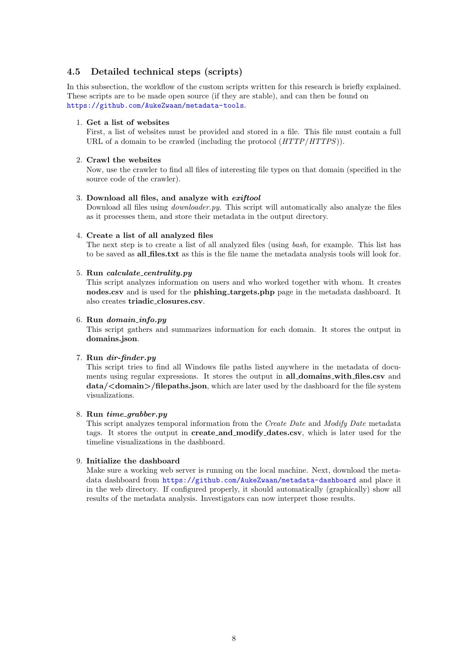## <span id="page-7-0"></span>4.5 Detailed technical steps (scripts)

In this subsection, the workflow of the custom scripts written for this research is briefly explained. These scripts are to be made open source (if they are stable), and can then be found on <https://github.com/AukeZwaan/metadata-tools>.

#### 1. Get a list of websites

First, a list of websites must be provided and stored in a file. This file must contain a full URL of a domain to be crawled (including the protocol  $(HTTP/HTTPS)$ ).

#### 2. Crawl the websites

Now, use the crawler to find all files of interesting file types on that domain (specified in the source code of the crawler).

#### 3. Download all files, and analyze with exiftool

Download all files using *downloader.py*. This script will automatically also analyze the files as it processes them, and store their metadata in the output directory.

#### 4. Create a list of all analyzed files

The next step is to create a list of all analyzed files (using bash, for example. This list has to be saved as all files.txt as this is the file name the metadata analysis tools will look for.

#### 5. Run calculate centrality.py

This script analyzes information on users and who worked together with whom. It creates nodes.csv and is used for the phishing targets.php page in the metadata dashboard. It also creates triadic closures.csv.

#### 6. Run domain info.py

This script gathers and summarizes information for each domain. It stores the output in domains.json.

#### 7. Run dir-finder.py

This script tries to find all Windows file paths listed anywhere in the metadata of documents using regular expressions. It stores the output in all domains with files.csv and data/<domain>/filepaths.json, which are later used by the dashboard for the file system visualizations.

#### 8. Run time\_grabber.py

This script analyzes temporal information from the Create Date and Modify Date metadata tags. It stores the output in create and modify dates.csv, which is later used for the timeline visualizations in the dashboard.

#### 9. Initialize the dashboard

Make sure a working web server is running on the local machine. Next, download the metadata dashboard from <https://github.com/AukeZwaan/metadata-dashboard> and place it in the web directory. If configured properly, it should automatically (graphically) show all results of the metadata analysis. Investigators can now interpret those results.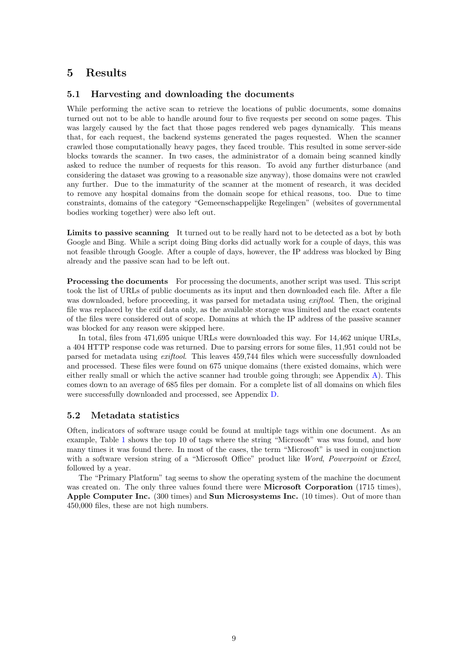## <span id="page-8-0"></span>5 Results

#### <span id="page-8-1"></span>5.1 Harvesting and downloading the documents

While performing the active scan to retrieve the locations of public documents, some domains turned out not to be able to handle around four to five requests per second on some pages. This was largely caused by the fact that those pages rendered web pages dynamically. This means that, for each request, the backend systems generated the pages requested. When the scanner crawled those computationally heavy pages, they faced trouble. This resulted in some server-side blocks towards the scanner. In two cases, the administrator of a domain being scanned kindly asked to reduce the number of requests for this reason. To avoid any further disturbance (and considering the dataset was growing to a reasonable size anyway), those domains were not crawled any further. Due to the immaturity of the scanner at the moment of research, it was decided to remove any hospital domains from the domain scope for ethical reasons, too. Due to time constraints, domains of the category "Gemeenschappelijke Regelingen" (websites of governmental bodies working together) were also left out.

Limits to passive scanning It turned out to be really hard not to be detected as a bot by both Google and Bing. While a script doing Bing dorks did actually work for a couple of days, this was not feasible through Google. After a couple of days, however, the IP address was blocked by Bing already and the passive scan had to be left out.

**Processing the documents** For processing the documents, another script was used. This script took the list of URLs of public documents as its input and then downloaded each file. After a file was downloaded, before proceeding, it was parsed for metadata using *exiftool*. Then, the original file was replaced by the exif data only, as the available storage was limited and the exact contents of the files were considered out of scope. Domains at which the IP address of the passive scanner was blocked for any reason were skipped here.

In total, files from 471,695 unique URLs were downloaded this way. For 14,462 unique URLs, a 404 HTTP response code was returned. Due to parsing errors for some files, 11,951 could not be parsed for metadata using exiftool. This leaves 459,744 files which were successfully downloaded and processed. These files were found on 675 unique domains (there existed domains, which were either really small or which the active scanner had trouble going through; see Appendix [A\)](#page-30-1). This comes down to an average of 685 files per domain. For a complete list of all domains on which files were successfully downloaded and processed, see Appendix [D.](#page-33-0)

#### <span id="page-8-2"></span>5.2 Metadata statistics

Often, indicators of software usage could be found at multiple tags within one document. As an example, Table [1](#page-9-0) shows the top 10 of tags where the string "Microsoft" was was found, and how many times it was found there. In most of the cases, the term "Microsoft" is used in conjunction with a software version string of a "Microsoft Office" product like Word, Powerpoint or Excel, followed by a year.

The "Primary Platform" tag seems to show the operating system of the machine the document was created on. The only three values found there were **Microsoft Corporation** (1715 times), Apple Computer Inc. (300 times) and Sun Microsystems Inc. (10 times). Out of more than 450,000 files, these are not high numbers.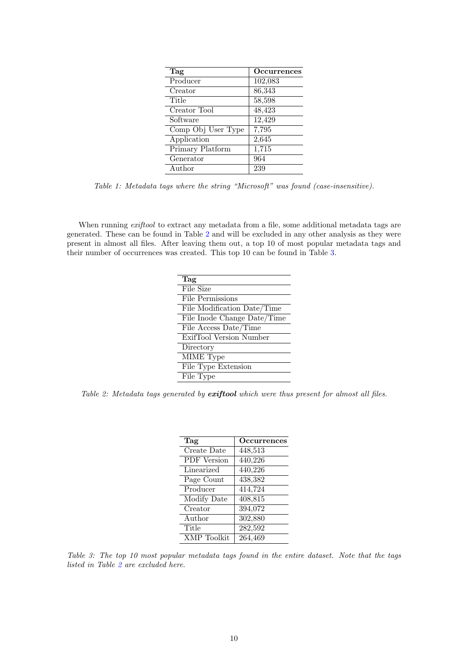<span id="page-9-0"></span>

| Tag                         | Occurrences |
|-----------------------------|-------------|
| $\overline{\text{Product}}$ | 102,083     |
| Creator                     | 86,343      |
| Title                       | 58,598      |
| Creator Tool                | 48,423      |
| Software                    | 12,429      |
| Comp Obj User Type          | 7,795       |
| Application                 | 2,645       |
| Primary Platform            | 1,715       |
| Generator                   | 964         |
| Author                      | 239         |

Table 1: Metadata tags where the string "Microsoft" was found (case-insensitive).

<span id="page-9-1"></span>When running *exiftool* to extract any metadata from a file, some additional metadata tags are generated. These can be found in Table [2](#page-9-1) and will be excluded in any other analysis as they were present in almost all files. After leaving them out, a top 10 of most popular metadata tags and their number of occurrences was created. This top 10 can be found in Table [3.](#page-9-2)

| Tag                         |
|-----------------------------|
| File Size                   |
| File Permissions            |
| File Modification Date/Time |
| File Inode Change Date/Time |
| File Access Date/Time       |
| ExifTool Version Number     |
| Directory                   |
| MIME Type                   |
| File Type Extension         |
| File Type                   |

<span id="page-9-2"></span>Table 2: Metadata tags generated by exiftool which were thus present for almost all files.

| Tag                | Occurrences          |
|--------------------|----------------------|
| Create Date        | 448,513              |
| <b>PDF</b> Version | 440,226              |
| Linearized         | 440,226              |
| Page Count         | 438,382              |
| Producer           | 414,724              |
| Modify Date        | 408,815              |
| Creator            | 394,072              |
| Author             | 302,880              |
| Title              | $\overline{282,}592$ |
| XMP Toolkit        | 264,469              |

Table 3: The top 10 most popular metadata tags found in the entire dataset. Note that the tags listed in Table [2](#page-9-1) are excluded here.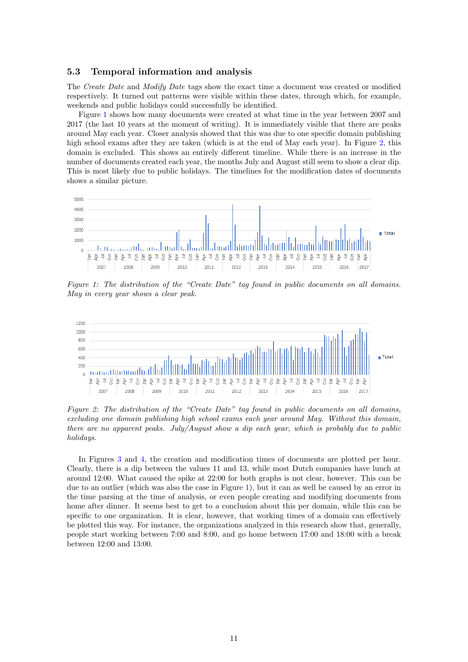#### <span id="page-10-0"></span>5.3 Temporal information and analysis

The Create Date and Modify Date tags show the exact time a document was created or modified respectively. It turned out patterns were visible within these dates, through which, for example, weekends and public holidays could successfully be identified.

Figure [1](#page-10-1) shows how many documents were created at what time in the year between 2007 and 2017 (the last 10 years at the moment of writing). It is immediately visible that there are peaks around May each year. Closer analysis showed that this was due to one specific domain publishing high school exams after they are taken (which is at the end of May each year). In Figure [2,](#page-10-2) this domain is excluded. This shows an entirely different timeline. While there is an increase in the number of documents created each year, the months July and August still seem to show a clear dip. This is most likely due to public holidays. The timelines for the modification dates of documents shows a similar picture.

<span id="page-10-1"></span>

Figure 1: The distribution of the "Create Date" tag found in public documents on all domains. May in every year shows a clear peak.

<span id="page-10-2"></span>

Figure 2: The distribution of the "Create Date" tag found in public documents on all domains, excluding one domain publishing high school exams each year around May. Without this domain, there are no apparent peaks. July/August show a dip each year, which is probably due to public holidays.

In Figures [3](#page-11-0) and [4,](#page-11-1) the creation and modification times of documents are plotted per hour. Clearly, there is a dip between the values 11 and 13, while most Dutch companies have lunch at around 12:00. What caused the spike at 22:00 for both graphs is not clear, however. This can be due to an outlier (which was also the case in Figure [1\)](#page-10-1), but it can as well be caused by an error in the time parsing at the time of analysis, or even people creating and modifying documents from home after dinner. It seems best to get to a conclusion about this per domain, while this can be specific to one organization. It is clear, however, that working times of a domain can effectively be plotted this way. For instance, the organizations analyzed in this research show that, generally, people start working between 7:00 and 8:00, and go home between 17:00 and 18:00 with a break between 12:00 and 13:00.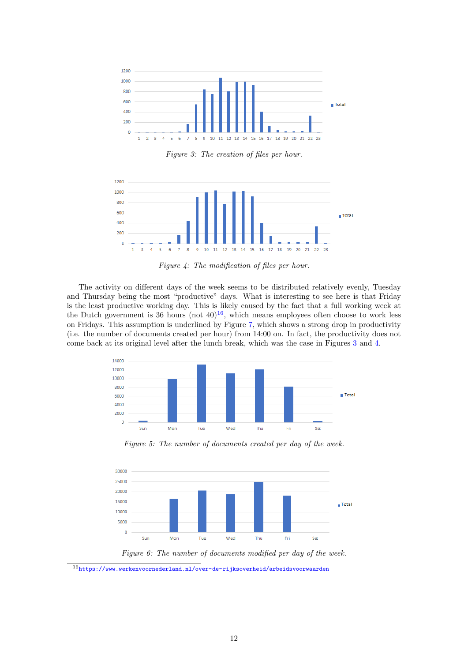<span id="page-11-0"></span>

Figure 3: The creation of files per hour.

<span id="page-11-1"></span>

Figure 4: The modification of files per hour.

The activity on different days of the week seems to be distributed relatively evenly, Tuesday and Thursday being the most "productive" days. What is interesting to see here is that Friday is the least productive working day. This is likely caused by the fact that a full working week at the Dutch government is 36 hours  $(not 40)<sup>16</sup>$  $(not 40)<sup>16</sup>$  $(not 40)<sup>16</sup>$ , which means employees often choose to work less on Fridays. This assumption is underlined by Figure [7,](#page-12-0) which shows a strong drop in productivity (i.e. the number of documents created per hour) from 14:00 on. In fact, the productivity does not come back at its original level after the lunch break, which was the case in Figures [3](#page-11-0) and [4.](#page-11-1)



Figure 5: The number of documents created per day of the week.



Figure 6: The number of documents modified per day of the week.

<span id="page-11-2"></span> $^{16}{\tt https://www.werkenvoornederland.nl/over-de-rijks overheid/arbeidsvoorwaarden}$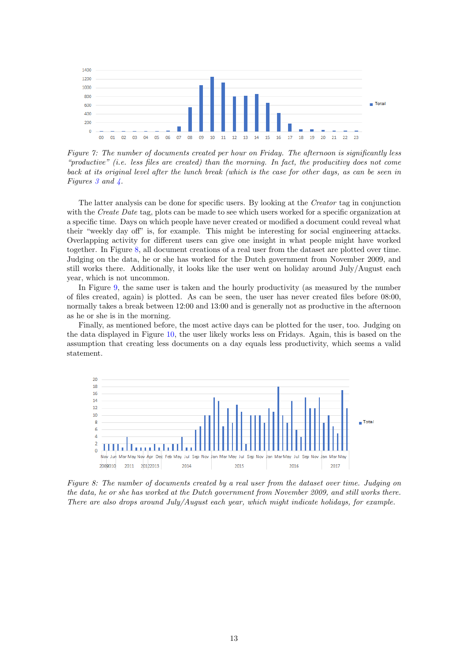<span id="page-12-0"></span>

Figure 7: The number of documents created per hour on Friday. The afternoon is significantly less "productive" (i.e. less files are created) than the morning. In fact, the producitivy does not come back at its original level after the lunch break (which is the case for other days, as can be seen in Figures [3](#page-11-0) and [4.](#page-11-1)

The latter analysis can be done for specific users. By looking at the Creator tag in conjunction with the Create Date tag, plots can be made to see which users worked for a specific organization at a specific time. Days on which people have never created or modified a document could reveal what their "weekly day off" is, for example. This might be interesting for social engineering attacks. Overlapping activity for different users can give one insight in what people might have worked together. In Figure [8,](#page-12-1) all document creations of a real user from the dataset are plotted over time. Judging on the data, he or she has worked for the Dutch government from November 2009, and still works there. Additionally, it looks like the user went on holiday around July/August each year, which is not uncommon.

In Figure [9,](#page-13-0) the same user is taken and the hourly productivity (as measured by the number of files created, again) is plotted. As can be seen, the user has never created files before 08:00, normally takes a break between 12:00 and 13:00 and is generally not as productive in the afternoon as he or she is in the morning.

Finally, as mentioned before, the most active days can be plotted for the user, too. Judging on the data displayed in Figure [10,](#page-13-1) the user likely works less on Fridays. Again, this is based on the assumption that creating less documents on a day equals less productivity, which seems a valid statement.

<span id="page-12-1"></span>

Figure 8: The number of documents created by a real user from the dataset over time. Judging on the data, he or she has worked at the Dutch government from November 2009, and still works there. There are also drops around July/August each year, which might indicate holidays, for example.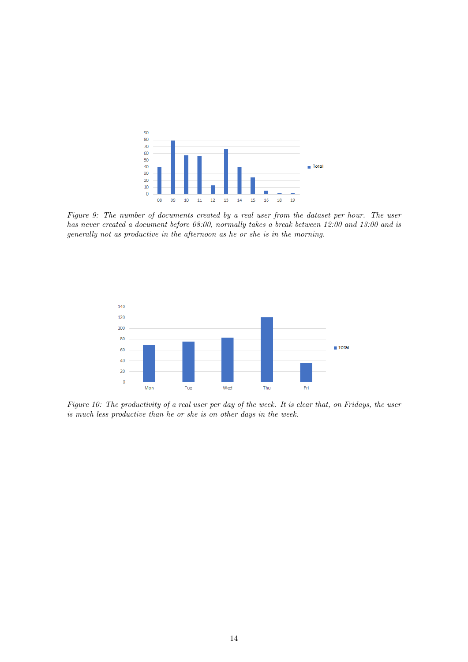<span id="page-13-0"></span>

Figure 9: The number of documents created by a real user from the dataset per hour. The user has never created a document before 08:00, normally takes a break between 12:00 and 13:00 and is generally not as productive in the afternoon as he or she is in the morning.

<span id="page-13-1"></span>

Figure 10: The productivity of a real user per day of the week. It is clear that, on Fridays, the user is much less productive than he or she is on other days in the week.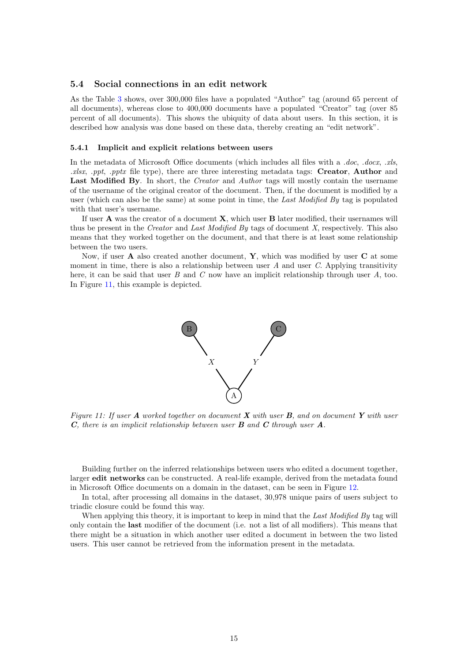#### <span id="page-14-0"></span>5.4 Social connections in an edit network

As the Table [3](#page-9-2) shows, over 300,000 files have a populated "Author" tag (around 65 percent of all documents), whereas close to 400,000 documents have a populated "Creator" tag (over 85 percent of all documents). This shows the ubiquity of data about users. In this section, it is described how analysis was done based on these data, thereby creating an "edit network".

#### <span id="page-14-1"></span>5.4.1 Implicit and explicit relations between users

In the metadata of Microsoft Office documents (which includes all files with a .doc, .docx, .xls,  $xllsx$ , ppt, pptx file type), there are three interesting metadata tags: Creator, Author and Last Modified By. In short, the *Creator* and *Author* tags will mostly contain the username of the username of the original creator of the document. Then, if the document is modified by a user (which can also be the same) at some point in time, the Last Modified By tag is populated with that user's username.

If user A was the creator of a document X, which user B later modified, their usernames will thus be present in the *Creator* and *Last Modified By* tags of document X, respectively. This also means that they worked together on the document, and that there is at least some relationship between the two users.

<span id="page-14-2"></span>Now, if user  $A$  also created another document,  $Y$ , which was modified by user  $C$  at some moment in time, there is also a relationship between user  $A$  and user  $C$ . Applying transitivity here, it can be said that user B and C now have an implicit relationship through user  $A$ , too. In Figure [11,](#page-14-2) this example is depicted.



Figure 11: If user  $\bf{A}$  worked together on document  $\bf{X}$  with user  $\bf{B}$ , and on document  $\bf{Y}$  with user  $C$ , there is an implicit relationship between user  $B$  and  $C$  through user  $A$ .

Building further on the inferred relationships between users who edited a document together, larger edit networks can be constructed. A real-life example, derived from the metadata found in Microsoft Office documents on a domain in the dataset, can be seen in Figure [12.](#page-15-1)

In total, after processing all domains in the dataset, 30,978 unique pairs of users subject to triadic closure could be found this way.

When applying this theory, it is important to keep in mind that the Last Modified By tag will only contain the last modifier of the document (i.e. not a list of all modifiers). This means that there might be a situation in which another user edited a document in between the two listed users. This user cannot be retrieved from the information present in the metadata.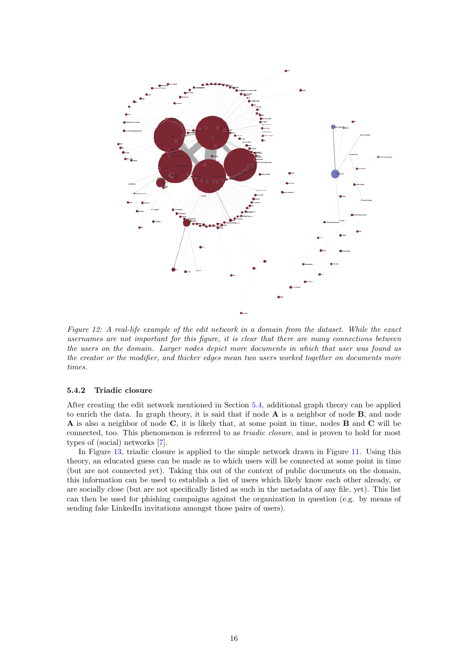<span id="page-15-1"></span>

Figure 12: A real-life example of the edit network in a domain from the dataset. While the exact usernames are not important for this figure, it is clear that there are many connections between the users on the domain. Larger nodes depict more documents in which that user was found as the creator or the modifier, and thicker edges mean two users worked together on documents more times.

#### <span id="page-15-0"></span>5.4.2 Triadic closure

After creating the edit network mentioned in Section [5.4,](#page-14-0) additional graph theory can be applied to enrich the data. In graph theory, it is said that if node  $A$  is a neighbor of node  $B$ , and node A is also a neighbor of node C, it is likely that, at some point in time, nodes B and C will be connected, too. This phenomenon is referred to as *triadic closure*, and is proven to hold for most types of (social) networks [\[7\]](#page-29-10).

In Figure [13,](#page-16-1) triadic closure is applied to the simple network drawn in Figure [11.](#page-14-2) Using this theory, an educated guess can be made as to which users will be connected at some point in time (but are not connected yet). Taking this out of the context of public documents on the domain, this information can be used to establish a list of users which likely know each other already, or are socially close (but are not specifically listed as such in the metadata of any file, yet). This list can then be used for phishing campaigns against the organization in question (e.g. by means of sending fake LinkedIn invitations amongst those pairs of users).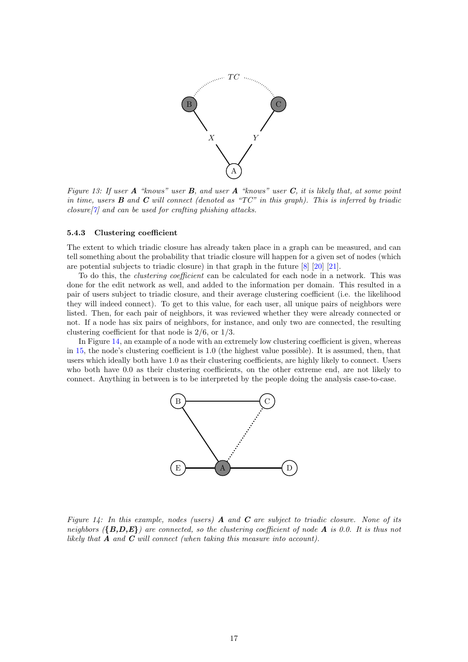<span id="page-16-1"></span>

Figure 13: If user  $A$  "knows" user  $B$ , and user  $A$  "knows" user  $C$ , it is likely that, at some point in time, users  $\bf{B}$  and  $\bf{C}$  will connect (denoted as "TC" in this graph). This is inferred by triadic closure  $|\gamma|$  and can be used for crafting phishing attacks.

#### <span id="page-16-0"></span>5.4.3 Clustering coefficient

The extent to which triadic closure has already taken place in a graph can be measured, and can tell something about the probability that triadic closure will happen for a given set of nodes (which are potential subjects to triadic closure) in that graph in the future [\[8\]](#page-29-11) [\[20\]](#page-29-12) [\[21\]](#page-29-13).

To do this, the *clustering coefficient* can be calculated for each node in a network. This was done for the edit network as well, and added to the information per domain. This resulted in a pair of users subject to triadic closure, and their average clustering coefficient (i.e. the likelihood they will indeed connect). To get to this value, for each user, all unique pairs of neighbors were listed. Then, for each pair of neighbors, it was reviewed whether they were already connected or not. If a node has six pairs of neighbors, for instance, and only two are connected, the resulting clustering coefficient for that node is 2/6, or 1/3.

<span id="page-16-2"></span>In Figure [14,](#page-16-2) an example of a node with an extremely low clustering coefficient is given, whereas in [15,](#page-17-0) the node's clustering coefficient is 1.0 (the highest value possible). It is assumed, then, that users which ideally both have 1.0 as their clustering coefficients, are highly likely to connect. Users who both have 0.0 as their clustering coefficients, on the other extreme end, are not likely to connect. Anything in between is to be interpreted by the people doing the analysis case-to-case.



Figure 14: In this example, nodes (users)  $\bf{A}$  and  $\bf{C}$  are subject to triadic closure. None of its neighbors  $({B,D,E})$  are connected, so the clustering coefficient of node A is 0.0. It is thus not likely that  $\bf{A}$  and  $\bf{C}$  will connect (when taking this measure into account).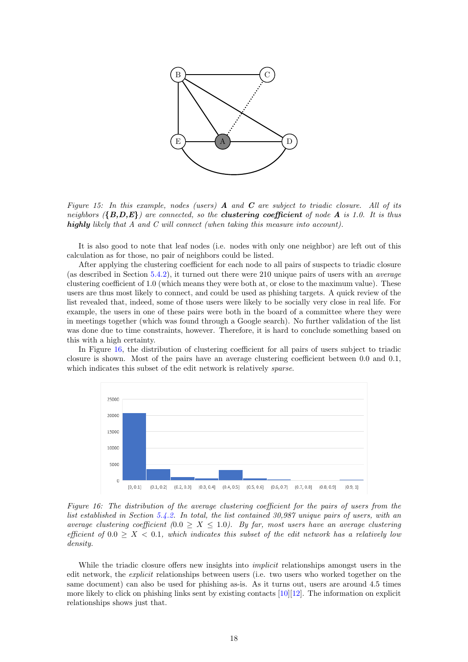<span id="page-17-0"></span>

Figure 15: In this example, nodes (users)  $\bf{A}$  and  $\bf{C}$  are subject to triadic closure. All of its neighbors  $({B,D,E})$  are connected, so the **clustering coefficient** of node **A** is 1.0. It is thus highly likely that A and C will connect (when taking this measure into account).

It is also good to note that leaf nodes (i.e. nodes with only one neighbor) are left out of this calculation as for those, no pair of neighbors could be listed.

After applying the clustering coefficient for each node to all pairs of suspects to triadic closure (as described in Section [5.4.2\)](#page-15-0), it turned out there were 210 unique pairs of users with an average clustering coefficient of 1.0 (which means they were both at, or close to the maximum value). These users are thus most likely to connect, and could be used as phishing targets. A quick review of the list revealed that, indeed, some of those users were likely to be socially very close in real life. For example, the users in one of these pairs were both in the board of a committee where they were in meetings together (which was found through a Google search). No further validation of the list was done due to time constraints, however. Therefore, it is hard to conclude something based on this with a high certainty.

In Figure [16,](#page-17-1) the distribution of clustering coefficient for all pairs of users subject to triadic closure is shown. Most of the pairs have an average clustering coefficient between 0.0 and 0.1, which indicates this subset of the edit network is relatively *sparse*.

<span id="page-17-1"></span>

Figure 16: The distribution of the average clustering coefficient for the pairs of users from the list established in Section [5.4.2.](#page-15-0) In total, the list contained 30,987 unique pairs of users, with an average clustering coefficient  $(0.0 \ge X \le 1.0)$ . By far, most users have an average clustering efficient of  $0.0 > X < 0.1$ , which indicates this subset of the edit network has a relatively low density.

While the triadic closure offers new insights into *implicit* relationships amongst users in the edit network, the explicit relationships between users (i.e. two users who worked together on the same document) can also be used for phishing as-is. As it turns out, users are around 4.5 times more likely to click on phishing links sent by existing contacts [\[10\]](#page-29-14)[\[12\]](#page-29-15). The information on explicit relationships shows just that.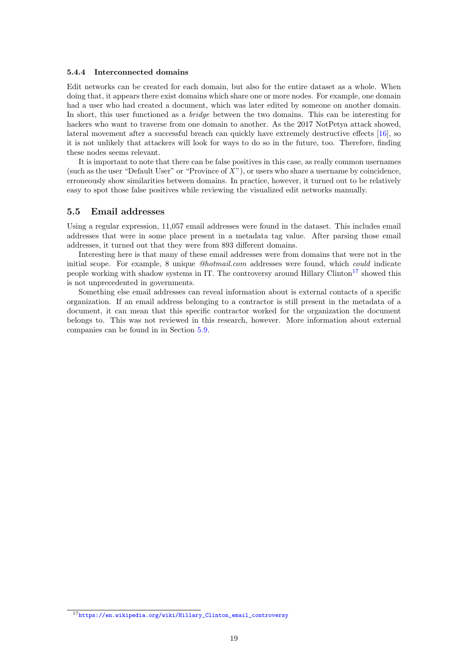#### <span id="page-18-0"></span>5.4.4 Interconnected domains

Edit networks can be created for each domain, but also for the entire dataset as a whole. When doing that, it appears there exist domains which share one or more nodes. For example, one domain had a user who had created a document, which was later edited by someone on another domain. In short, this user functioned as a *bridge* between the two domains. This can be interesting for hackers who want to traverse from one domain to another. As the 2017 NotPetya attack showed, lateral movement after a successful breach can quickly have extremely destructive effects [\[16\]](#page-29-16), so it is not unlikely that attackers will look for ways to do so in the future, too. Therefore, finding these nodes seems relevant.

It is important to note that there can be false positives in this case, as really common usernames (such as the user "Default User" or "Province of  $X$ "), or users who share a username by coincidence, erroneously show similarities between domains. In practice, however, it turned out to be relatively easy to spot those false positives while reviewing the visualized edit networks manually.

#### <span id="page-18-1"></span>5.5 Email addresses

Using a regular expression, 11,057 email addresses were found in the dataset. This includes email addresses that were in some place present in a metadata tag value. After parsing those email addresses, it turned out that they were from 893 different domains.

Interesting here is that many of these email addresses were from domains that were not in the initial scope. For example, 8 unique @hotmail.com addresses were found, which could indicate people working with shadow systems in IT. The controversy around Hillary Clinton<sup>[17](#page-18-2)</sup> showed this is not unprecedented in governments.

Something else email addresses can reveal information about is external contacts of a specific organization. If an email address belonging to a contractor is still present in the metadata of a document, it can mean that this specific contractor worked for the organization the document belongs to. This was not reviewed in this research, however. More information about external companies can be found in in Section [5.9.](#page-23-0)

<span id="page-18-2"></span><sup>17</sup>[https://en.wikipedia.org/wiki/Hillary\\_Clinton\\_email\\_controversy](https://en.wikipedia.org/wiki/Hillary_Clinton_email_controversy)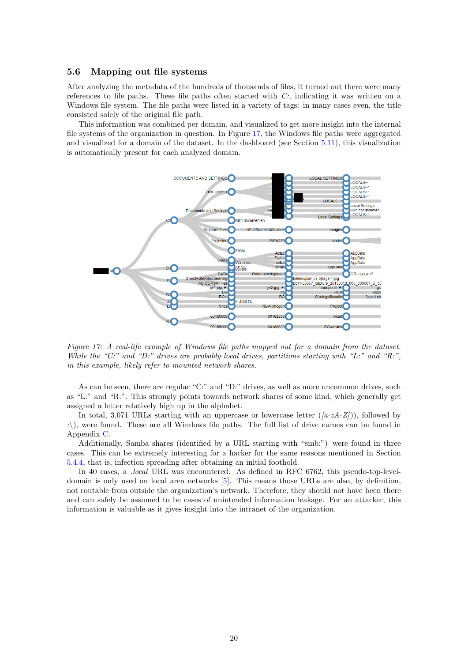#### <span id="page-19-0"></span>5.6 Mapping out file systems

After analyzing the metadata of the hundreds of thousands of files, it turned out there were many references to file paths. These file paths often started with  $C$ ; indicating it was written on a Windows file system. The file paths were listed in a variety of tags: in many cases even, the title consisted solely of the original file path.

This information was combined per domain, and visualized to get more insight into the internal file systems of the organization in question. In Figure [17,](#page-19-1) the Windows file paths were aggregated and visualized for a domain of the dataset. In the dashboard (see Section [5.11\)](#page-24-1), this visualization is automatically present for each analyzed domain.

<span id="page-19-1"></span>

Figure 17: A real-life example of Windows file paths mapped out for a domain from the dataset. While the "C:" and "D:" drives are probably local drives, partitions starting with "L:" and "R:", in this example, likely refer to mounted network shares.

As can be seen, there are regular "C:" and "D:" drives, as well as more uncommon drives, such as "L:" and "R:". This strongly points towards network shares of some kind, which generally get assigned a letter relatively high up in the alphabet.

In total, 3,071 URLs starting with an uppercase or lowercase letter  $((a-zA-Z))$ , followed by  $\therefore$ ), were found. These are all Windows file paths. The full list of drive names can be found in Appendix [C.](#page-32-0)

Additionally, Samba shares (identified by a URL starting with "smb:") were found in three cases. This can be extremely interesting for a hacker for the same reasons mentioned in Section [5.4.4,](#page-18-0) that is, infection spreading after obtaining an initial foothold.

In 40 cases, a .local URL was encountered. As defined in RFC 6762, this pseudo-top-leveldomain is only used on local area networks [\[5\]](#page-29-17). This means those URLs are also, by definition, not routable from outside the organization's network. Therefore, they should not have been there and can safely be assumed to be cases of unintended information leakage. For an attacker, this information is valuable as it gives insight into the intranet of the organization.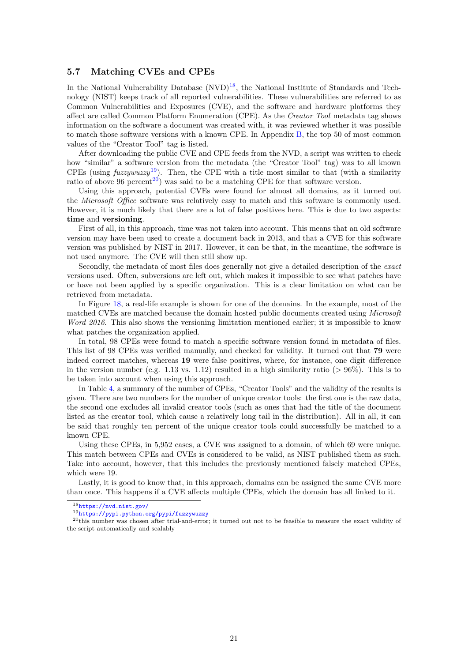#### <span id="page-20-0"></span>5.7 Matching CVEs and CPEs

In the National Vulnerability Database  $(NUD)^{18}$  $(NUD)^{18}$  $(NUD)^{18}$ , the National Institute of Standards and Technology (NIST) keeps track of all reported vulnerabilities. These vulnerabilities are referred to as Common Vulnerabilities and Exposures (CVE), and the software and hardware platforms they affect are called Common Platform Enumeration (CPE). As the Creator Tool metadata tag shows information on the software a document was created with, it was reviewed whether it was possible to match those software versions with a known CPE. In Appendix [B,](#page-31-0) the top 50 of most common values of the "Creator Tool" tag is listed.

After downloading the public CVE and CPE feeds from the NVD, a script was written to check how "similar" a software version from the metadata (the "Creator Tool" tag) was to all known CPEs (using  $fuzzywuzzy<sup>19</sup>$  $fuzzywuzzy<sup>19</sup>$  $fuzzywuzzy<sup>19</sup>$ ). Then, the CPE with a title most similar to that (with a similarity ratio of above 96 percent<sup>[20](#page-20-3)</sup>) was said to be a matching CPE for that software version.

Using this approach, potential CVEs were found for almost all domains, as it turned out the *Microsoft Office* software was relatively easy to match and this software is commonly used. However, it is much likely that there are a lot of false positives here. This is due to two aspects: time and versioning.

First of all, in this approach, time was not taken into account. This means that an old software version may have been used to create a document back in 2013, and that a CVE for this software version was published by NIST in 2017. However, it can be that, in the meantime, the software is not used anymore. The CVE will then still show up.

Secondly, the metadata of most files does generally not give a detailed description of the exact versions used. Often, subversions are left out, which makes it impossible to see what patches have or have not been applied by a specific organization. This is a clear limitation on what can be retrieved from metadata.

In Figure [18,](#page-21-0) a real-life example is shown for one of the domains. In the example, most of the matched CVEs are matched because the domain hosted public documents created using Microsoft Word 2016. This also shows the versioning limitation mentioned earlier; it is impossible to know what patches the organization applied.

In total, 98 CPEs were found to match a specific software version found in metadata of files. This list of 98 CPEs was verified manually, and checked for validity. It turned out that 79 were indeed correct matches, whereas 19 were false positives, where, for instance, one digit difference in the version number (e.g. 1.13 vs. 1.12) resulted in a high similarity ratio ( $> 96\%$ ). This is to be taken into account when using this approach.

In Table [4,](#page-21-1) a summary of the number of CPEs, "Creator Tools" and the validity of the results is given. There are two numbers for the number of unique creator tools: the first one is the raw data, the second one excludes all invalid creator tools (such as ones that had the title of the document listed as the creator tool, which cause a relatively long tail in the distribution). All in all, it can be said that roughly ten percent of the unique creator tools could successfully be matched to a known CPE.

Using these CPEs, in 5,952 cases, a CVE was assigned to a domain, of which 69 were unique. This match between CPEs and CVEs is considered to be valid, as NIST published them as such. Take into account, however, that this includes the previously mentioned falsely matched CPEs, which were 19.

Lastly, it is good to know that, in this approach, domains can be assigned the same CVE more than once. This happens if a CVE affects multiple CPEs, which the domain has all linked to it.

<span id="page-20-1"></span><sup>18</sup><https://nvd.nist.gov/>

<span id="page-20-3"></span><span id="page-20-2"></span><sup>19</sup><https://pypi.python.org/pypi/fuzzywuzzy>

<sup>20</sup>this number was chosen after trial-and-error; it turned out not to be feasible to measure the exact validity of the script automatically and scalably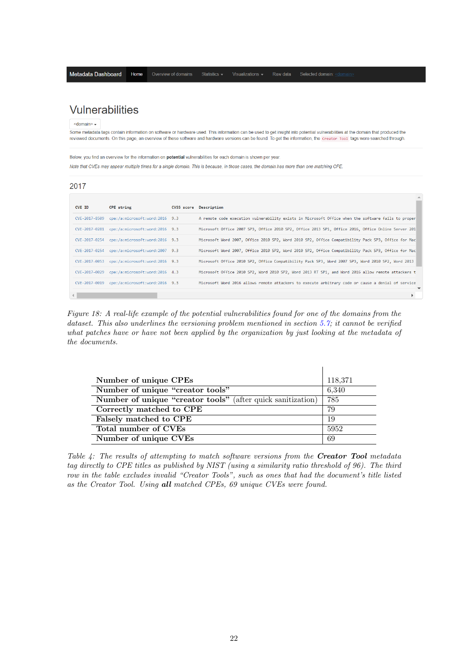## <span id="page-21-0"></span>Vulnerabilities

 $\le$ domain>  $\star$ 

Some metadata tags contain information on software or hardware used. This information can be used to get insight into potential vulnerabilities at the domain that produced the reviewed documents. On this page, an overview of these software and hardware versions can be found. To get the information, the Creator Tool tags were searched through.

Below, you find an overview for the information on potential vulnerabilities for each domain is shown per year.

Note that CVEs may appear multiple times for a single domain. This is because, in those cases, the domain has more than one matching CPE.

| 2017          |                                              |  |                                                                                                    |  |
|---------------|----------------------------------------------|--|----------------------------------------------------------------------------------------------------|--|
| CVE ID        | CPE string                                   |  | CVSS score Description                                                                             |  |
| CVE-2017-8509 | cpe:/a:microsoft:word:2016 9.3               |  | A remote code execution vulnerability exists in Microsoft Office when the software fails to proper |  |
|               | CVE-2017-0281 cpe:/a:microsoft:word:2016 9.3 |  | Microsoft Office 2007 SP3, Office 2010 SP2, Office 2013 SP1, Office 2016, Office Online Server 201 |  |
|               | CVE-2017-0254 cpe:/a:microsoft:word:2016 9.3 |  | Microsoft Word 2007, Office 2010 SP2, Word 2010 SP2, Office Compatibility Pack SP3, Office for Mac |  |
|               | CVE-2017-0254 cpe:/a:microsoft:word:2007 9.3 |  | Microsoft Word 2007, Office 2010 SP2, Word 2010 SP2, Office Compatibility Pack SP3, Office for Mac |  |
|               | CVE-2017-0053 cpe:/a:microsoft:word:2016 9.3 |  | Microsoft Office 2010 SP2, Office Compatibility Pack SP3, Word 2007 SP3, Word 2010 SP2, Word 2013  |  |
|               | CVE-2017-0029 cpe:/a:microsoft:word:2016 4.3 |  | Microsoft Office 2010 SP2, Word 2010 SP2, Word 2013 RT SP1, and Word 2016 allow remote attackers t |  |
|               | CVE-2017-0019 cpe:/a:microsoft:word:2016 9.3 |  | Microsoft Word 2016 allows remote attackers to execute arbitrary code or cause a denial of service |  |
|               |                                              |  |                                                                                                    |  |

Figure 18: A real-life example of the potential vulnerabilities found for one of the domains from the dataset. This also underlines the versioning problem mentioned in section [5.7;](#page-20-0) it cannot be verified what patches have or have not been applied by the organization by just looking at the metadata of the documents.

<span id="page-21-1"></span>

| Number of unique CPEs                                              | 118,371 |
|--------------------------------------------------------------------|---------|
| Number of unique "creator tools"                                   | 6,340   |
| <b>Number of unique "creator tools"</b> (after quick sanitization) | 785     |
| Correctly matched to CPE                                           | 79      |
| Falsely matched to CPE                                             | 19      |
| Total number of CVEs                                               | 5952    |
| Number of unique CVEs                                              | 69      |

Table  $\mathcal{L}$ : The results of attempting to match software versions from the **Creator Tool** metadata tag directly to CPE titles as published by NIST (using a similarity ratio threshold of 96). The third row in the table excludes invalid "Creator Tools", such as ones that had the document's title listed as the Creator Tool. Using all matched CPEs, 69 unique CVEs were found.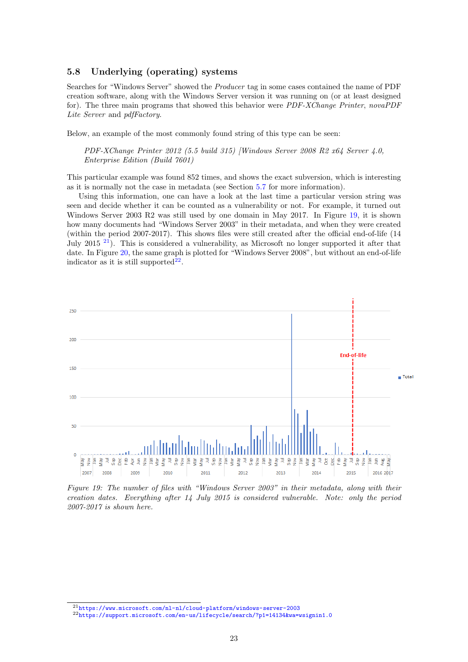#### <span id="page-22-0"></span>5.8 Underlying (operating) systems

Searches for "Windows Server" showed the Producer tag in some cases contained the name of PDF creation software, along with the Windows Server version it was running on (or at least designed for). The three main programs that showed this behavior were *PDF-XChange Printer*, novaPDF Lite Server and pdfFactory.

Below, an example of the most commonly found string of this type can be seen:

PDF-XChange Printer 2012 (5.5 build 315) [Windows Server 2008 R2 x64 Server 4.0, Enterprise Edition (Build 7601)

This particular example was found 852 times, and shows the exact subversion, which is interesting as it is normally not the case in metadata (see Section [5.7](#page-20-0) for more information).

Using this information, one can have a look at the last time a particular version string was seen and decide whether it can be counted as a vulnerability or not. For example, it turned out Windows Server 2003 R2 was still used by one domain in May 2017. In Figure [19,](#page-22-1) it is shown how many documents had "Windows Server 2003" in their metadata, and when they were created (within the period 2007-2017). This shows files were still created after the official end-of-life (14 July 2015<sup>[21](#page-22-2)</sup>). This is considered a vulnerability, as Microsoft no longer supported it after that date. In Figure [20,](#page-23-4) the same graph is plotted for "Windows Server 2008", but without an end-of-life indicator as it is still supported<sup>[22](#page-22-3)</sup>.

<span id="page-22-1"></span>

Figure 19: The number of files with "Windows Server 2003" in their metadata, along with their creation dates. Everything after 14 July 2015 is considered vulnerable. Note: only the period 2007-2017 is shown here.

<span id="page-22-2"></span> $^{21}\rm{https://www.microsoft.com/nl-nl/cloud-platform/windows-server-2003}$  $^{21}\rm{https://www.microsoft.com/nl-nl/cloud-platform/windows-server-2003}$  $^{21}\rm{https://www.microsoft.com/nl-nl/cloud-platform/windows-server-2003}$ 

<span id="page-22-3"></span><sup>22</sup><https://support.microsoft.com/en-us/lifecycle/search/?p1=14134&wa=wsignin1.0>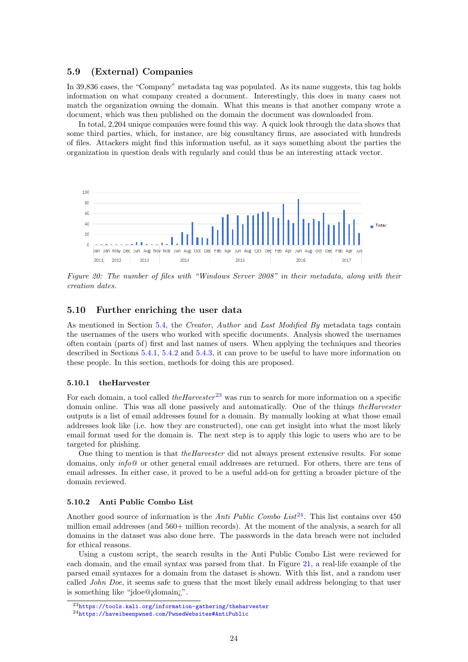#### <span id="page-23-0"></span>5.9 (External) Companies

In 39,836 cases, the "Company" metadata tag was populated. As its name suggests, this tag holds information on what company created a document. Interestingly, this does in many cases not match the organization owning the domain. What this means is that another company wrote a document, which was then published on the domain the document was downloaded from.

In total, 2,204 unique companies were found this way. A quick look through the data shows that some third parties, which, for instance, are big consultancy firms, are associated with hundreds of files. Attackers might find this information useful, as it says something about the parties the organization in question deals with regularly and could thus be an interesting attack vector.

<span id="page-23-4"></span>

Figure 20: The number of files with "Windows Server 2008" in their metadata, along with their creation dates.

#### <span id="page-23-1"></span>5.10 Further enriching the user data

As mentioned in Section [5.4,](#page-14-0) the Creator, Author and Last Modified By metadata tags contain the usernames of the users who worked with specific documents. Analysis showed the usernames often contain (parts of) first and last names of users. When applying the techniques and theories described in Sections [5.4.1,](#page-14-1) [5.4.2](#page-15-0) and [5.4.3,](#page-16-0) it can prove to be useful to have more information on these people. In this section, methods for doing this are proposed.

#### <span id="page-23-2"></span>5.10.1 theHarvester

For each domain, a tool called the Harvester<sup>[23](#page-23-5)</sup> was run to search for more information on a specific domain online. This was all done passively and automatically. One of the things *theHarvester* outputs is a list of email addresses found for a domain. By manually looking at what those email addresses look like (i.e. how they are constructed), one can get insight into what the most likely email format used for the domain is. The next step is to apply this logic to users who are to be targeted for phishing.

One thing to mention is that *theHarvester* did not always present extensive results. For some domains, only *info@* or other general email addresses are returned. For others, there are tens of email adresses. In either case, it proved to be a useful add-on for getting a broader picture of the domain reviewed.

#### <span id="page-23-3"></span>5.10.2 Anti Public Combo List

Another good source of information is the Anti Public Combo List<sup>[24](#page-23-6)</sup>. This list contains over 450 million email addresses (and 560+ million records). At the moment of the analysis, a search for all domains in the dataset was also done here. The passwords in the data breach were not included for ethical reasons.

Using a custom script, the search results in the Anti Public Combo List were reviewed for each domain, and the email syntax was parsed from that. In Figure [21,](#page-24-2) a real-life example of the parsed email syntaxes for a domain from the dataset is shown. With this list, and a random user called *John Doe*, it seems safe to guess that the most likely email address belonging to that user is something like "jdoe@¡domain¿".

<span id="page-23-5"></span><sup>23</sup><https://tools.kali.org/information-gathering/theharvester>

<span id="page-23-6"></span><sup>24</sup><https://haveibeenpwned.com/PwnedWebsites#AntiPublic>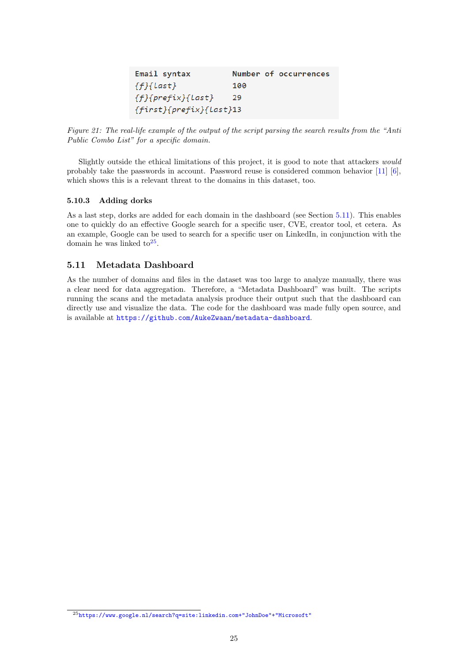| Email syntax                    |     |  | Number of occurrences |  |
|---------------------------------|-----|--|-----------------------|--|
| $\{f\}$ {Last}                  | 100 |  |                       |  |
| $\{f\}$ {prefix}{Last}          | 29  |  |                       |  |
| $\{first\} \{prefix\} \{Last\}$ |     |  |                       |  |

<span id="page-24-2"></span>Figure 21: The real-life example of the output of the script parsing the search results from the "Anti Public Combo List" for a specific domain.

Slightly outside the ethical limitations of this project, it is good to note that attackers would probably take the passwords in account. Password reuse is considered common behavior [\[11\]](#page-29-18) [\[6\]](#page-29-19), which shows this is a relevant threat to the domains in this dataset, too.

#### <span id="page-24-0"></span>5.10.3 Adding dorks

As a last step, dorks are added for each domain in the dashboard (see Section [5.11\)](#page-24-1). This enables one to quickly do an effective Google search for a specific user, CVE, creator tool, et cetera. As an example, Google can be used to search for a specific user on LinkedIn, in conjunction with the domain he was linked  $to^{25}$  $to^{25}$  $to^{25}$ .

#### <span id="page-24-1"></span>5.11 Metadata Dashboard

As the number of domains and files in the dataset was too large to analyze manually, there was a clear need for data aggregation. Therefore, a "Metadata Dashboard" was built. The scripts running the scans and the metadata analysis produce their output such that the dashboard can directly use and visualize the data. The code for the dashboard was made fully open source, and is available at <https://github.com/AukeZwaan/metadata-dashboard>.

<span id="page-24-3"></span><sup>25</sup>[https://www.google.nl/search?q=site:linkedin.com+"JohnDoe"+"Microsoft"](https://www.google.nl/search?q=site:linkedin.com+"John Doe"+"Microsoft")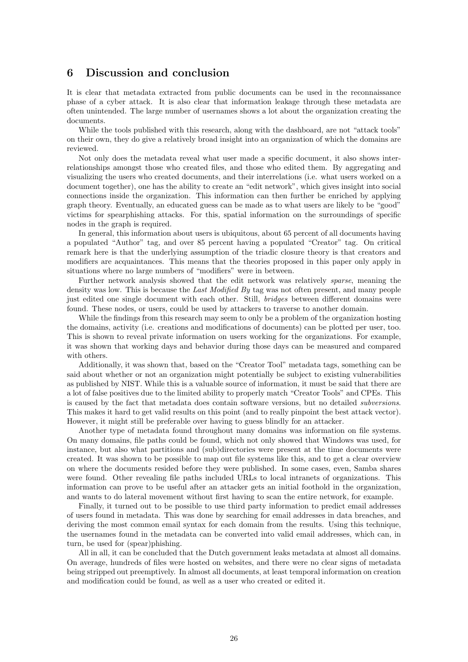## <span id="page-25-0"></span>6 Discussion and conclusion

It is clear that metadata extracted from public documents can be used in the reconnaissance phase of a cyber attack. It is also clear that information leakage through these metadata are often unintended. The large number of usernames shows a lot about the organization creating the documents.

While the tools published with this research, along with the dashboard, are not "attack tools" on their own, they do give a relatively broad insight into an organization of which the domains are reviewed.

Not only does the metadata reveal what user made a specific document, it also shows interrelationships amongst those who created files, and those who edited them. By aggregating and visualizing the users who created documents, and their interrelations (i.e. what users worked on a document together), one has the ability to create an "edit network", which gives insight into social connections inside the organization. This information can then further be enriched by applying graph theory. Eventually, an educated guess can be made as to what users are likely to be "good" victims for spearphishing attacks. For this, spatial information on the surroundings of specific nodes in the graph is required.

In general, this information about users is ubiquitous, about 65 percent of all documents having a populated "Author" tag, and over 85 percent having a populated "Creator" tag. On critical remark here is that the underlying assumption of the triadic closure theory is that creators and modifiers are acquaintances. This means that the theories proposed in this paper only apply in situations where no large numbers of "modifiers" were in between.

Further network analysis showed that the edit network was relatively sparse, meaning the density was low. This is because the Last Modified By tag was not often present, and many people just edited one single document with each other. Still, *bridges* between different domains were found. These nodes, or users, could be used by attackers to traverse to another domain.

While the findings from this research may seem to only be a problem of the organization hosting the domains, activity (i.e. creations and modifications of documents) can be plotted per user, too. This is shown to reveal private information on users working for the organizations. For example, it was shown that working days and behavior during those days can be measured and compared with others.

Additionally, it was shown that, based on the "Creator Tool" metadata tags, something can be said about whether or not an organization might potentially be subject to existing vulnerabilities as published by NIST. While this is a valuable source of information, it must be said that there are a lot of false positives due to the limited ability to properly match "Creator Tools" and CPEs. This is caused by the fact that metadata does contain software versions, but no detailed subversions. This makes it hard to get valid results on this point (and to really pinpoint the best attack vector). However, it might still be preferable over having to guess blindly for an attacker.

Another type of metadata found throughout many domains was information on file systems. On many domains, file paths could be found, which not only showed that Windows was used, for instance, but also what partitions and (sub)directories were present at the time documents were created. It was shown to be possible to map out file systems like this, and to get a clear overview on where the documents resided before they were published. In some cases, even, Samba shares were found. Other revealing file paths included URLs to local intranets of organizations. This information can prove to be useful after an attacker gets an initial foothold in the organization, and wants to do lateral movement without first having to scan the entire network, for example.

Finally, it turned out to be possible to use third party information to predict email addresses of users found in metadata. This was done by searching for email addresses in data breaches, and deriving the most common email syntax for each domain from the results. Using this technique, the usernames found in the metadata can be converted into valid email addresses, which can, in turn, be used for (spear)phishing.

All in all, it can be concluded that the Dutch government leaks metadata at almost all domains. On average, hundreds of files were hosted on websites, and there were no clear signs of metadata being stripped out preemptively. In almost all documents, at least temporal information on creation and modification could be found, as well as a user who created or edited it.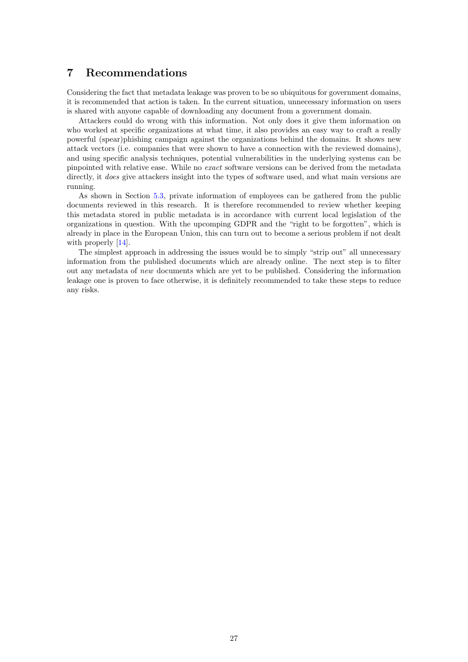## <span id="page-26-0"></span>7 Recommendations

Considering the fact that metadata leakage was proven to be so ubiquitous for government domains, it is recommended that action is taken. In the current situation, unnecessary information on users is shared with anyone capable of downloading any document from a government domain.

Attackers could do wrong with this information. Not only does it give them information on who worked at specific organizations at what time, it also provides an easy way to craft a really powerful (spear)phishing campaign against the organizations behind the domains. It shows new attack vectors (i.e. companies that were shown to have a connection with the reviewed domains), and using specific analysis techniques, potential vulnerabilities in the underlying systems can be pinpointed with relative ease. While no exact software versions can be derived from the metadata directly, it *does* give attackers insight into the types of software used, and what main versions are running.

As shown in Section [5.3,](#page-10-0) private information of employees can be gathered from the public documents reviewed in this research. It is therefore recommended to review whether keeping this metadata stored in public metadata is in accordance with current local legislation of the organizations in question. With the upcomping GDPR and the "right to be forgotten", which is already in place in the European Union, this can turn out to become a serious problem if not dealt with properly  $[14]$ .

The simplest approach in addressing the issues would be to simply "strip out" all unnecessary information from the published documents which are already online. The next step is to filter out any metadata of new documents which are yet to be published. Considering the information leakage one is proven to face otherwise, it is definitely recommended to take these steps to reduce any risks.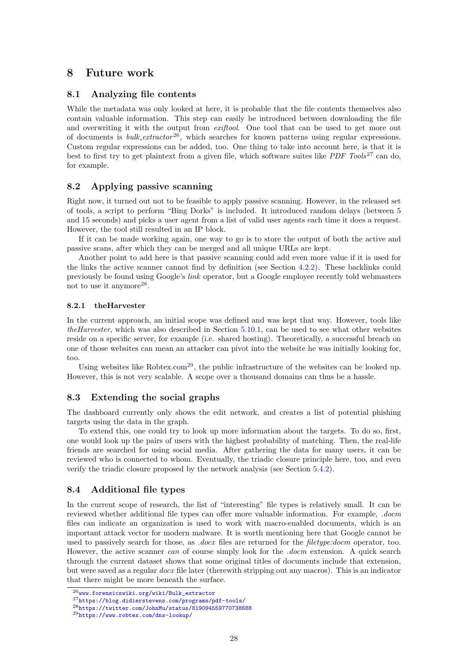## <span id="page-27-0"></span>8 Future work

#### <span id="page-27-1"></span>8.1 Analyzing file contents

While the metadata was only looked at here, it is probable that the file contents themselves also contain valuable information. This step can easily be introduced between downloading the file and overwriting it with the output from *exiftool*. One tool that can be used to get more out of documents is  $bulk\_extractor^{26}$  $bulk\_extractor^{26}$  $bulk\_extractor^{26}$ , which searches for known patterns using regular expressions. Custom regular expressions can be added, too. One thing to take into account here, is that it is best to first try to get plaintext from a given file, which software suites like *PDF Tools*<sup>[27](#page-27-7)</sup> can do, for example.

## <span id="page-27-2"></span>8.2 Applying passive scanning

Right now, it turned out not to be feasible to apply passive scanning. However, in the released set of tools, a script to perform "Bing Dorks" is included. It introduced random delays (between 5 and 15 seconds) and picks a user agent from a list of valid user agents each time it does a request. However, the tool still resulted in an IP block.

If it can be made working again, one way to go is to store the output of both the active and passive scans, after which they can be merged and all unique URLs are kept.

Another point to add here is that passive scanning could add even more value if it is used for the links the active scanner cannot find by definition (see Section [4.2.2\)](#page-5-2). These backlinks could previously be found using Google's link operator, but a Google employee recently told webmasters not to use it anymore<sup>[28](#page-27-8)</sup>.

#### <span id="page-27-3"></span>8.2.1 theHarvester

In the current approach, an initial scope was defined and was kept that way. However, tools like theHarvester, which was also described in Section [5.10.1,](#page-23-2) can be used to see what other websites reside on a specific server, for example (i.e. shared hosting). Theoretically, a successful breach on one of those websites can mean an attacker can pivot into the website he was initially looking for, too.

Using websites like Robtex.com<sup>[29](#page-27-9)</sup>, the public infrastructure of the websites can be looked up. However, this is not very scalable. A scope over a thousand domains can thus be a hassle.

#### <span id="page-27-4"></span>8.3 Extending the social graphs

The dashboard currently only shows the edit network, and creates a list of potential phishing targets using the data in the graph.

To extend this, one could try to look up more information about the targets. To do so, first, one would look up the pairs of users with the highest probability of matching. Then, the real-life friends are searched for using social media. After gathering the data for many users, it can be reviewed who is connected to whom. Eventually, the triadic closure principle here, too, and even verify the triadic closure proposed by the network analysis (see Section [5.4.2\)](#page-15-0).

## <span id="page-27-5"></span>8.4 Additional file types

In the current scope of research, the list of "interesting" file types is relatively small. It can be reviewed whether additional file types can offer more valuable information. For example, .docm files can indicate an organization is used to work with macro-enabled documents, which is an important attack vector for modern malware. It is worth mentioning here that Google cannot be used to passively search for those, as *docx* files are returned for the *filetype:docm* operator, too. However, the active scanner can of course simply look for the *.docm* extension. A quick search through the current dataset shows that some original titles of documents include that extension, but were saved as a regular docx file later (therewith stripping out any macros). This is an indicator that there might be more beneath the surface.

<span id="page-27-6"></span> $^{26}$ [www.forensicswiki.org/wiki/Bulk\\_extractor](www.forensicswiki.org/wiki/Bulk_extractor)

<span id="page-27-7"></span><sup>27</sup><https://blog.didierstevens.com/programs/pdf-tools/>

<span id="page-27-8"></span><sup>28</sup><https://twitter.com/JohnMu/status/819094559770738688>

<span id="page-27-9"></span><sup>29</sup><https://www.robtex.com/dns-lookup/>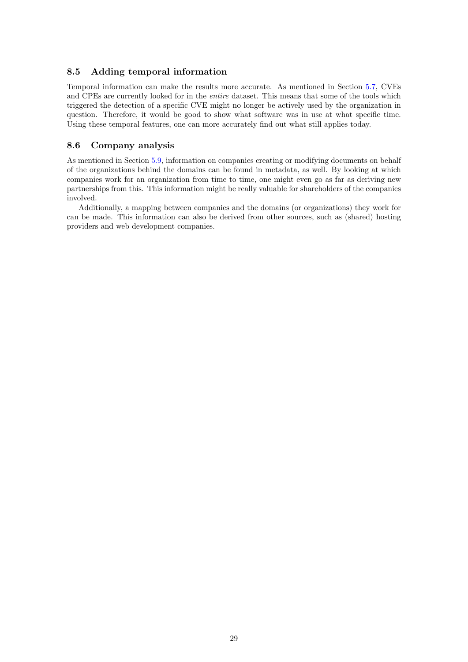#### <span id="page-28-0"></span>8.5 Adding temporal information

Temporal information can make the results more accurate. As mentioned in Section [5.7,](#page-20-0) CVEs and CPEs are currently looked for in the entire dataset. This means that some of the tools which triggered the detection of a specific CVE might no longer be actively used by the organization in question. Therefore, it would be good to show what software was in use at what specific time. Using these temporal features, one can more accurately find out what still applies today.

#### <span id="page-28-1"></span>8.6 Company analysis

As mentioned in Section [5.9,](#page-23-0) information on companies creating or modifying documents on behalf of the organizations behind the domains can be found in metadata, as well. By looking at which companies work for an organization from time to time, one might even go as far as deriving new partnerships from this. This information might be really valuable for shareholders of the companies involved.

Additionally, a mapping between companies and the domains (or organizations) they work for can be made. This information can also be derived from other sources, such as (shared) hosting providers and web development companies.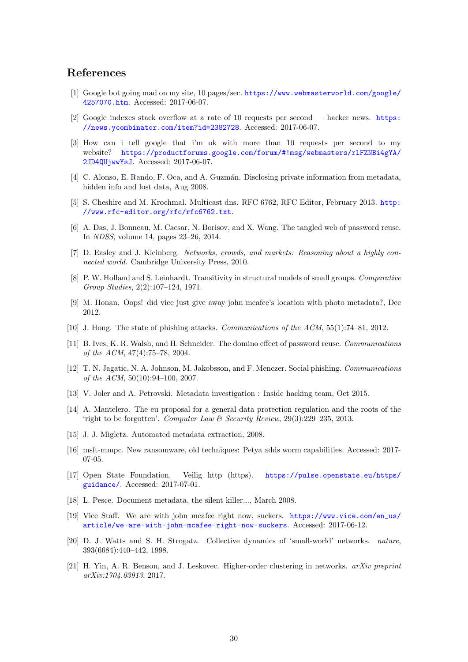## References

- <span id="page-29-9"></span>[1] Google bot going mad on my site, 10 pages/sec. [https://www.webmasterworld.com/google/](https://www.webmasterworld.com/google/4257070.htm) [4257070.htm](https://www.webmasterworld.com/google/4257070.htm). Accessed: 2017-06-07.
- <span id="page-29-7"></span>[2] Google indexes stack overflow at a rate of 10 requests per second — hacker news. [https:](https://news.ycombinator.com/item?id=2382728) [//news.ycombinator.com/item?id=2382728](https://news.ycombinator.com/item?id=2382728). Accessed: 2017-06-07.
- <span id="page-29-8"></span>[3] How can i tell google that i'm ok with more than 10 requests per second to my website? [https://productforums.google.com/forum/#!msg/webmasters/rlFZNBi4gYA/](https://productforums.google.com/forum/#!msg/webmasters/rlFZNBi4gYA/2JD4QUjwwYsJ) [2JD4QUjwwYsJ](https://productforums.google.com/forum/#!msg/webmasters/rlFZNBi4gYA/2JD4QUjwwYsJ). Accessed: 2017-06-07.
- <span id="page-29-4"></span>[4] C. Alonso, E. Rando, F. Oca, and A. Guzmán. Disclosing private information from metadata, hidden info and lost data, Aug 2008.
- <span id="page-29-17"></span>[5] S. Cheshire and M. Krochmal. Multicast dns. RFC 6762, RFC Editor, February 2013. [http:](http://www.rfc-editor.org/rfc/rfc6762.txt) [//www.rfc-editor.org/rfc/rfc6762.txt](http://www.rfc-editor.org/rfc/rfc6762.txt).
- <span id="page-29-19"></span>[6] A. Das, J. Bonneau, M. Caesar, N. Borisov, and X. Wang. The tangled web of password reuse. In NDSS, volume 14, pages 23–26, 2014.
- <span id="page-29-10"></span>[7] D. Easley and J. Kleinberg. Networks, crowds, and markets: Reasoning about a highly connected world. Cambridge University Press, 2010.
- <span id="page-29-11"></span>[8] P. W. Holland and S. Leinhardt. Transitivity in structural models of small groups. Comparative Group Studies, 2(2):107–124, 1971.
- <span id="page-29-1"></span>[9] M. Honan. Oops! did vice just give away john mcafee's location with photo metadata?, Dec 2012.
- <span id="page-29-14"></span>[10] J. Hong. The state of phishing attacks. Communications of the ACM, 55(1):74–81, 2012.
- <span id="page-29-18"></span>[11] B. Ives, K. R. Walsh, and H. Schneider. The domino effect of password reuse. Communications of the ACM, 47(4):75–78, 2004.
- <span id="page-29-15"></span>[12] T. N. Jagatic, N. A. Johnson, M. Jakobsson, and F. Menczer. Social phishing. Communications of the ACM,  $50(10):94-100$ , 2007.
- <span id="page-29-2"></span>[13] V. Joler and A. Petrovski. Metadata investigation : Inside hacking team, Oct 2015.
- <span id="page-29-20"></span>[14] A. Mantelero. The eu proposal for a general data protection regulation and the roots of the 'right to be forgotten'. Computer Law & Security Review,  $29(3):229-235$ , 2013.
- <span id="page-29-5"></span>[15] J. J. Migletz. Automated metadata extraction, 2008.
- <span id="page-29-16"></span>[16] msft-mmpc. New ransomware, old techniques: Petya adds worm capabilities. Accessed: 2017- 07-05.
- <span id="page-29-6"></span>[17] Open State Foundation. Veilig http (https). [https://pulse.openstate.eu/https/](https://pulse.openstate.eu/https/guidance/) [guidance/](https://pulse.openstate.eu/https/guidance/). Accessed: 2017-07-01.
- <span id="page-29-3"></span>[18] L. Pesce. Document metadata, the silent killer..., March 2008.
- <span id="page-29-0"></span>[19] Vice Staff. We are with john mcafee right now, suckers. [https://www.vice.com/en\\_us/](https://www.vice.com/en_us/article/we-are-with-john-mcafee-right-now-suckers) [article/we-are-with-john-mcafee-right-now-suckers](https://www.vice.com/en_us/article/we-are-with-john-mcafee-right-now-suckers). Accessed: 2017-06-12.
- <span id="page-29-12"></span>[20] D. J. Watts and S. H. Strogatz. Collective dynamics of 'small-world' networks. nature, 393(6684):440–442, 1998.
- <span id="page-29-13"></span>[21] H. Yin, A. R. Benson, and J. Leskovec. Higher-order clustering in networks. arXiv preprint arXiv:1704.03913, 2017.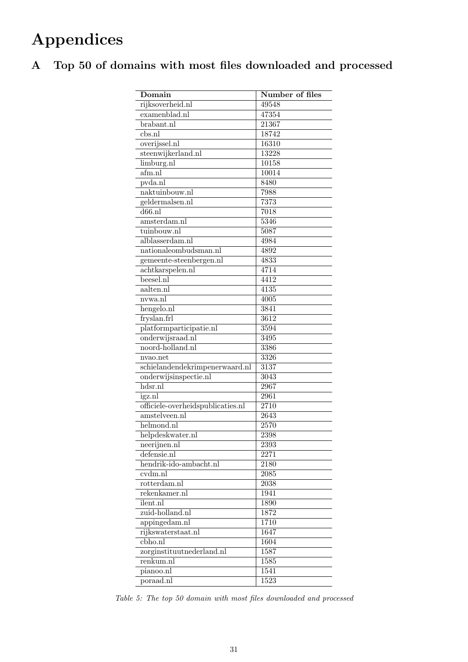# Appendices

# <span id="page-30-1"></span><span id="page-30-0"></span>A Top 50 of domains with most files downloaded and processed

| Domain                            | Number of files   |
|-----------------------------------|-------------------|
| rijksoverheid.nl                  | 49548             |
| examenblad.nl                     | 47354             |
| brabant.nl                        | 21367             |
| $\overline{\text{cbs}.\text{n}}$  | 18742             |
| overijssel.nl                     | 16310             |
| steenwijkerland.nl                | 13228             |
| limburg.nl                        | 10158             |
| afm.nl                            | 10014             |
| pvda.nl                           | 8480              |
| naktuinbouw.nl                    | 7988              |
| geldermalsen.nl                   | 7373              |
| $d66.$ nl                         | 7018              |
| amsterdam.nl                      | 5346              |
| tuinbouw.nl                       | 5087              |
| alblasserdam.nl                   | 4984              |
| nationaleombudsman.nl             | 4892              |
| gemeente-steenbergen.nl           | 4833              |
| achtkarspelen.nl                  | 4714              |
| beesel.nl                         | 4412              |
| aalten.nl                         | $\overline{4135}$ |
| nvwa.n1                           | 4005              |
| hengelo.nl                        | 3841              |
| fryslan.frl                       | 3612              |
| platformparticipatie.nl           | 3594              |
| onderwijsraad.nl                  | $\overline{349}5$ |
| noord-holland.nl                  | 3386              |
| nvao.net                          | 3326              |
| schielandendekrimpenerwaard.nl    | 3137              |
| onderwijsinspectie.nl             | 3043              |
| $h\overline{\text{dsr}.\text{n}}$ | 2967              |
| igz.nl                            | 2961              |
| officiele-overheidspublicaties.nl | 2710              |
| amstelveen.nl                     | 2643              |
| helmond.nl                        | 2570              |
| helpdeskwater.nl                  | 2398              |
| neerijnen.nl                      | 2393              |
| defensie.nl                       | 2271              |
| hendrik-ido-ambacht.nl            | $21\overline{80}$ |
| $cvdm.\overline{nl}$              | 2085              |
| rotterdam.nl                      | 2038              |
| rekenkamer.nl                     | 1941              |
| ilent.nl                          | 1890              |
| zuid-holland.nl                   | 1872              |
| appingedam.nl                     | 1710              |
| rijkswaterstaat.nl                | 1647              |
| cbho.nl                           | 1604              |
| zorginstituutnederland.nl         | 1587              |
| renkum.nl                         | 1585              |
| pianoo.nl                         | $15\overline{41}$ |
| poraad.nl                         | 1523              |

Table 5: The top 50 domain with most files downloaded and processed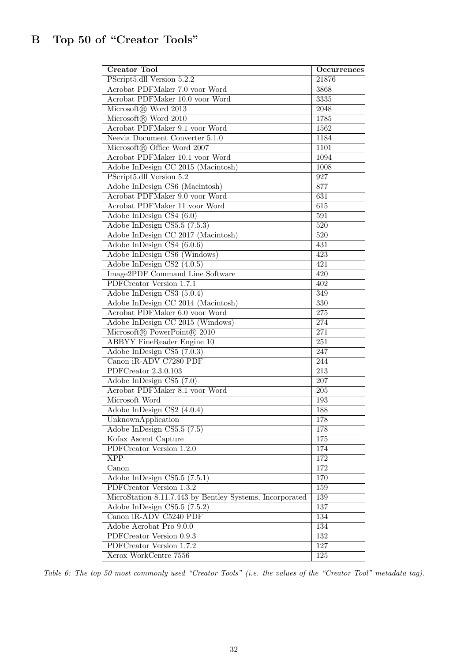<span id="page-31-0"></span>

| <b>Creator Tool</b>                                      | Occurrences      |
|----------------------------------------------------------|------------------|
| PScript5.dll Version 5.2.2                               | 21876            |
| Acrobat PDFMaker 7.0 voor Word                           | 3868             |
| Acrobat PDFMaker 10.0 voor Word                          | 3335             |
| Microsoft® Word 2013                                     | 2048             |
| Microsoft® Word 2010                                     | 1785             |
| Acrobat PDFMaker 9.1 voor Word                           | 1562             |
| Neevia Document Converter 5.1.0                          | 1184             |
| Microsoft® Office Word 2007                              | 1101             |
| Acrobat PDFMaker 10.1 voor Word                          | 1094             |
| Adobe InDesign CC 2015 (Macintosh)                       | 1008             |
| PScript5.dll Version 5.2                                 | $\overline{927}$ |
| Adobe InDesign CS6 (Macintosh)                           | 877              |
| Acrobat PDFMaker 9.0 voor Word                           | $\overline{631}$ |
| Acrobat PDFMaker 11 voor Word                            | $\overline{615}$ |
| Adobe InDesign CS4 $(6.0)$                               | 591              |
| Adobe InDesign CS5.5 $(7.5.3)$                           | $\overline{520}$ |
| Adobe InDesign CC 2017 (Macintosh)                       | 520              |
| Adobe InDesign CS4 $(6.0.6)$                             | 431              |
| Adobe InDesign CS6 (Windows)                             | 423              |
| Adobe InDesign CS2 (4.0.5)                               | 421              |
| Image2PDF Command Line Software                          | 420              |
| PDFCreator Version 1.7.1                                 | 402              |
| Adobe InDesign CS3 (5.0.4)                               | 349              |
| Adobe InDesign CC 2014 (Macintosh)                       | 330              |
| Acrobat PDFMaker 6.0 voor Word                           | 275              |
| Adobe InDesign CC 2015 (Windows)                         | 274              |
| Microsoft® PowerPoint® 2010                              | $\overline{271}$ |
| <b>ABBYY FineReader Engine 10</b>                        | $\overline{251}$ |
| Adobe InDesign CS5 (7.0.3)                               | 247              |
| Canon iR-ADV C7280 PDF                                   | 244              |
| PDFCreator 2.3.0.103                                     | 213              |
| Adobe InDesign CS5 (7.0)                                 | 207              |
| Acrobat PDFMaker 8.1 voor Word                           | $205\,$          |
| Microsoft Word                                           | 193              |
| Adobe $\overline{\text{InDesign CS2 (4.0.4)}}$           | 188              |
| UnknownApplication                                       | 178              |
| Adobe InDesign CS5.5 (7.5)                               | 178              |
| Kofax Ascent Capture                                     | $\overline{175}$ |
| PDFCreator Version 1.2.0                                 | 174              |
| $\overline{XPP}$                                         | 172              |
| Canon                                                    | 172              |
| Adobe InDesign CS5.5 (7.5.1)                             | 170              |
| PDFCreator Version 1.3.2                                 | 159              |
| MicroStation 8.11.7.443 by Bentley Systems, Incorporated | 139              |
| Adobe InDesign CS5.5 (7.5.2)                             | 137              |
| Canon iR-ADV C5240 PDF                                   | 134              |
| Adobe Acrobat Pro 9.0.0                                  | 134              |
| PDFCreator Version 0.9.3                                 | $\overline{132}$ |
| PDFCreator Version 1.7.2                                 | $\overline{127}$ |
| Xerox WorkCentre 7556                                    | 125              |
|                                                          |                  |

Table 6: The top 50 most commonly used "Creator Tools" (i.e. the values of the "Creator Tool" metadata tag).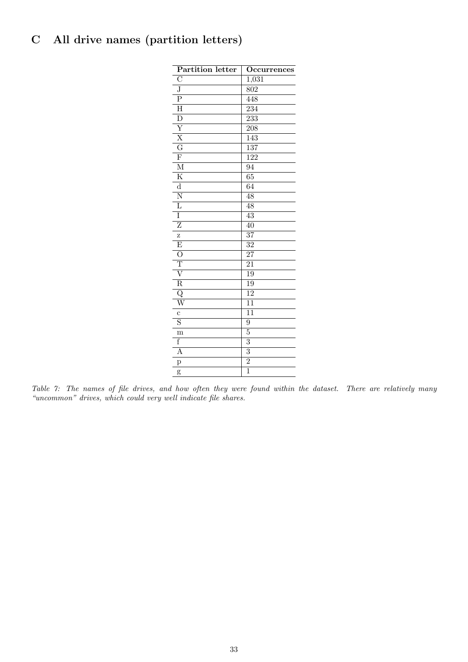# <span id="page-32-0"></span>C All drive names (partition letters)

| Partition letter        | Occurrences      |
|-------------------------|------------------|
| $\overline{C}$          | 1,031            |
| $\overline{\text{J}}$   | 802              |
| $\overline{\mathrm{P}}$ | 448              |
| $\overline{\mathrm{H}}$ | 234              |
| $\overline{\rm D}$      | 233              |
| $\overline{Y}$          | 208              |
| $\overline{\text{X}}$   | 143              |
| $\overline{\rm G}$      | 137              |
| $\overline{\mathrm{F}}$ | $\overline{122}$ |
| $\overline{\mathrm{M}}$ | $\overline{94}$  |
| $\overline{\mathrm{K}}$ | $\overline{65}$  |
| $\overline{d}$          | $\overline{64}$  |
| $\overline{\text{N}}$   | $\overline{48}$  |
| $\overline{\mathrm{L}}$ | $\overline{48}$  |
| Ī                       | $\overline{43}$  |
| $\overline{\mathrm{z}}$ | $\overline{40}$  |
| Z                       | $\overline{37}$  |
| $\overline{\mathrm{E}}$ | 32               |
| $\overline{O}$          | $\overline{27}$  |
| $\overline{\text{T}}$   | $\overline{21}$  |
| $\overline{\rm v}$      | $\overline{19}$  |
| $\overline{\mathrm{R}}$ | 19               |
| $\overline{\mathrm{Q}}$ | $\overline{12}$  |
| $\overline{\text{W}}$   | $\overline{11}$  |
| $\mathbf c$             | $\overline{11}$  |
| $\overline{\mathrm{s}}$ | $\overline{9}$   |
| m                       | $\overline{5}$   |
| f                       | $\overline{3}$   |
| $\overline{A}$          | $\overline{3}$   |
| p                       | $\overline{2}$   |
| g                       | $\overline{1}$   |

Table 7: The names of file drives, and how often they were found within the dataset. There are relatively many "uncommon" drives, which could very well indicate file shares.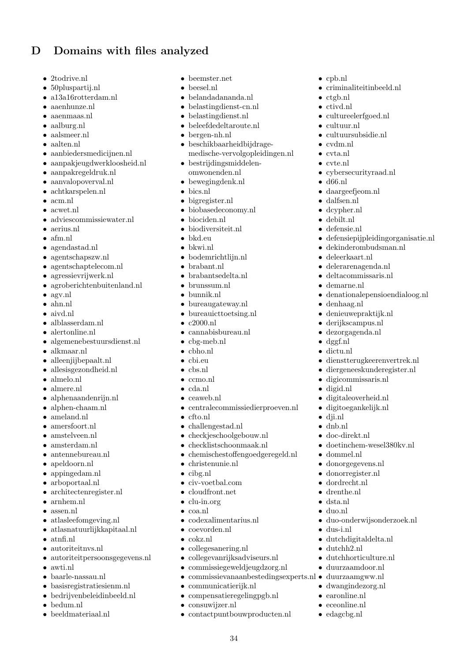# <span id="page-33-0"></span>D Domains with files analyzed

- 2todrive.nl
- 50pluspartij.nl
- a13a16rotterdam.nl
- aaenhunze.nl
- aaenmaas.nl
- aalburg.nl
- aalsmeer.nl
- aalten nl
- aanbiedersmedicijnen.nl
- aanpakjeugdwerkloosheid.nl
- aanpakregeldruk.nl
- aanvalopoverval.nl
- achtkarspelen.nl
- acm.nl
- acwet.nl
- adviescommissiewater.nl
- aerius.nl
- afm.nl
- agendastad.nl
- agentschapszw.nl
- agentschaptelecom.nl
- agressievrijwerk.nl
- agroberichtenbuitenland.nl
- agv.nl
- ahn.nl
- aivd.nl
- alblasserdam.nl
- alertonline.nl
- algemenebestuursdienst.nl
- alkmaar.nl
- alleenjijbepaalt.nl
- allesisgezondheid.nl
- almelo.nl
- almere.nl
- alphenaandenrijn.nl
- alphen-chaam.nl
- ameland.nl
- amersfoort.nl
- amstelveen.nl
- amsterdam.nl
- antennebureau.nl
- apeldoorn.nl
- appingedam.nl
- arboportaal.nl
- architectenregister.nl
- arnhem.nl
- assen nl
- atlasleefomgeving.nl
- atlasnatuurlijkkapitaal.nl
- atnfi.nl
- autoriteitnvs.nl
- autoriteitpersoonsgegevens.nl
- awti.nl
- baarle-nassau.nl
- basisregistratiesienm.nl
- bedrijvenbeleidinbeeld.nl
- bedum.nl
- beeldmateriaal.nl
- beemster net
- beesel.nl
- belandadananda.nl
- belastingdienst-cn.nl
- belastingdienst.nl
- beleefdedeltaroute.nl
- bergen-nh.nl
- beschikbaarheidbijdragemedische-vervolgopleidingen.nl

• cpb.nl

• ctgb.nl • ctivd.nl

• cultuur.nl

• cvdm.nl • cvta.nl • cvte.nl

• d66.nl

• criminaliteitinbeeld.nl

• cultureelerfgoed.nl

• cultuursubsidie.nl

• cybersecurityraad.nl

• defensiepijpleidingorganisatie.nl

• denationalepensioendialoog.nl

• dienstterugkeerenvertrek.nl • diergeneeskunderegister.nl

• doetinchem-wesel380kv.nl

• duo-onderwijsonderzoek.nl

• dutchdigitaldelta.nl

• dutchhorticulture.nl • duurzaamdoor.nl • duurzaamgww.nl • dwangindezorg.nl • earonline.nl • eceonline.nl • edagcbg.nl

• dekinderombudsman.nl

• daargeefjeom.nl • dalfsen.nl • dcypher.nl • debilt.nl • defensie.nl

• deleerkaart.nl • delerarenagenda.nl • deltacommissaris.nl

• demarne.nl

• denieuwepraktijk.nl • derijkscampus.nl • dezorgagenda.nl

• digicommissaris.nl

• digitaleoverheid.nl • digitoegankelijk.nl

• denhaag.nl

• dggf.nl • dictu.nl

• digid.nl

• dji.nl • dnb.nl • doc-direkt.nl

• dus-i.nl

• dutchh2.nl

• dommel.nl • donorgegevens.nl • donorregister.nl • dordrecht.nl • drenthe.nl • dsta.nl • duo.nl

- bestrijdingsmiddelenomwonenden.nl
- bewegingdenk.nl
- bics.nl
- bigregister.nl
- biobasedeconomy.nl
- biociden.nl
- biodiversiteit.nl
- bkd.eu
- bkwi.nl
- bodemrichtlijn.nl
- brabant.nl
- brabantsedelta.nl
- brunssum.nl
- bunnik.nl
- bureaugateway.nl
- bureauicttoetsing.nl
- c2000.nl
- cannabisbureau.nl
- cbg-meb.nl
- cbho.nl
- cbi.eu
- cbs.nl
- ccmo.nl
- cda.nl
- ceaweb.nl
- centralecommissiedierproeven.nl
- cfto.nl
- challengestad.nl
- checkieschoolgebouw.nl
- checklistschoonmaak.nl
- chemischestoffengoedgeregeld.nl
- christenunie.nl

• civ-voetbal.com • cloudfront.net • clu-in.org • coa.nl

• coevorden.nl • cokz.nl

• codexalimentarius.nl

• collegesanering.nl

• communicatierijk.nl • compensatieregelingpgb.nl

• consuwijzer.nl

• collegevanrijksadviseurs.nl • commissiegeweldjeugdzorg.nl

• contactpuntbouwproducten.nl

34

 $\bullet\,$  commissievanaanbestedings<br/>experts.nl  $\bullet\,$ 

• cibg.nl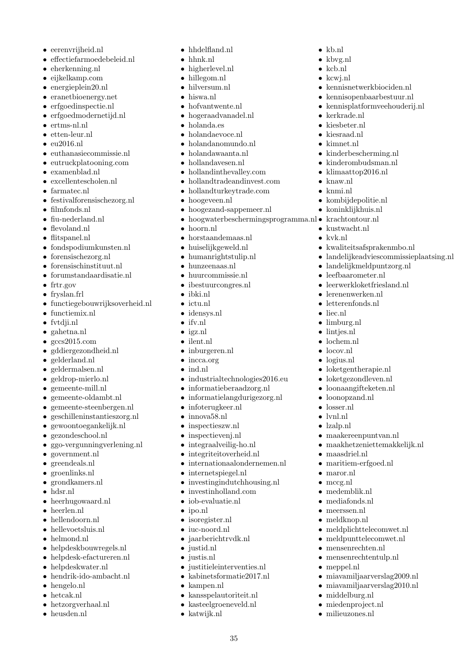- eerenvrijheid.nl
- effectiefarmoedebeleid.nl
- eherkenning.nl
- eijkelkamp.com
- energieplein20.nl
- eranetbioenergy.net
- erfgoedinspectie.nl
- erfgoedmodernetijd.nl
- ertms-nl.nl
- etten-leur.nl
- $9016nl$
- euthanasiecommissie.nl
- eutruckplatooning.com
- examenblad.nl
- excellentescholen.nl
- farmatec.nl
- festivalforensischezorg.nl
- filmfonds.nl
- fiu-nederland.nl
- flevoland.nl
- flitspanel.nl
- fondspodiumkunsten.nl
- forensischezorg.nl
- forensischinstituut.nl
- forumstandaardisatie.nl
- frtr.gov
- fryslan.frl
- functiegebouwrijksoverheid.nl
- functiemix.nl
- fvtdji.nl
- gahetna.nl
- gccs2015.com
- gddiergezondheid.nl
- gelderland.nl
- geldermalsen.nl
- geldrop-mierlo.nl
- gemeente-mill.nl
- gemeente-oldambt.nl
- gemeente-steenbergen.nl
- geschilleninstantieszorg.nl
- gewoontoegankelijk.nl
- gezondeschool.nl
- ggo-vergunningverlening.nl
- government.nl
- greendeals.nl
- groenlinks.nl
- grondkamers.nl
- hdsr.nl
- heerhugowaard.nl
- heerlen.nl
- hellendoorn.nl
- hellevoetsluis.nl
- helmond.nl
- helpdeskbouwregels.nl
- helpdesk-efactureren.nl
- helpdeskwater.nl
- hendrik-ido-ambacht.nl
- hengelo.nl
- hetcak.nl
- hetzorgverhaal.nl
- heusden.nl
- hhdelfland.nl
- hhnk.nl
- higherlevel.nl
- hillegom.nl
- hilversum.nl
- hiswa.nl
- hofvantwente.nl • hogeraadvanadel.nl
- holanda.es
- 
- holandaevoce.nl
- holandanomundo.nl
- holandawaanta.nl
- hollandavesen.nl
- hollandinthevalley.com
- hollandtradeandinvest.com
- hollandturkeytrade.com
- hoogeveen.nl
- hoogezand-sappemeer.nl
- hoogwaterbeschermingsprogramma.nl krachtontour.nl

• kb.nl • kbvg.nl • kcb.nl • kcwj.nl

• kerkrade.nl • kiesbeter.nl • kiesraad.nl • kimnet nl

• knaw.nl • knmi.nl

• kennisnetwerkbiociden.nl • kennisopenbaarbestuur.nl • kennisplatformveehouderij.nl

• kinderbescherming.nl • kinderombudsman.nl • klimaattop2016.nl

• kombijdepolitie.nl • koninklijkhuis.nl

• kwaliteitsafsprakenmbo.nl

• landelijkmeldpuntzorg.nl • leefbaarometer.nl • leerwerkloketfriesland.nl

• lerenenwerken.nl • letterenfonds.nl

• loketgentherapie.nl • loketgezondleven.nl • loonaangifteketen.nl • loonopzand.nl • losser.nl • lvnl.nl • lzalp.nl

• maakereenpuntvan.nl • maakhetzeniettemakkelijk.nl

• meldplichttelecomwet.nl • meldpunttelecomwet.nl • mensenrechten.nl • mensenrechtentulp.nl

• miavamiljaarverslag2009.nl • miavamiljaarverslag2010.nl

• maasdriel.nl • maritiem-erfgoed.nl

• maror.nl • mccg.nl • medemblik.nl • mediafonds.nl • meerssen.nl • meldknop.nl

• meppel.nl

• middelburg.nl • miedenproject.nl • milieuzones.nl

• liec.nl • limburg.nl • lintjes.nl • lochem.nl • locov.nl • logius.nl

• landelijkeadviescommissieplaatsing.nl

• kustwacht.nl • kvk.nl

- hoorn.nl
- horstaandemaas.nl
- huiselijkgeweld.nl
- humanrightstulip.nl
- hunzeenaas.nl
- huurcommissie.nl
- ibestuurcongres.nl
- ibki.nl
- ictu.nl
- idensys.nl
- ifv.nl
- igz.nl
- ilent.nl • inburgeren.nl
- incca.org
- ind.nl
- industrialtechnologies2016.eu
- informatieberaadzorg.nl
- informatielangdurigezorg.nl

• investingindutchhousing.nl • investinholland.com • iob-evaluatie.nl

• justitieleinterventies.nl • kabinetsformatie2017.nl

• kansspelautoriteit.nl • kasteelgroeneveld.nl

35

• infoterugkeer.nl

• inspectievenj.nl • integraalveilig-ho.nl • integriteitoverheid.nl • internationaalondernemen.nl

• internetspiegel.nl

• ipo.nl • isoregister.nl • iuc-noord.nl • jaarberichtrydk.nl

• justid.nl • justis.nl

• kampen.nl

• katwijk.nl

• innova58.nl • inspectieszw.nl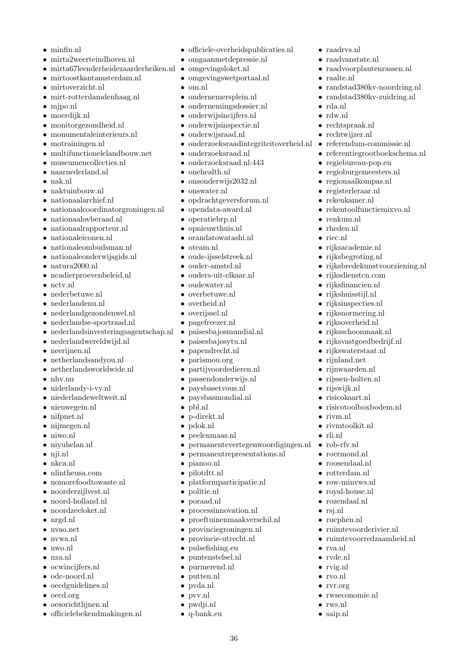- minfin.nl
- mirta2weerteindhoven.nl
- mirta67leenderheidezaarderheiken.nl omgevingsloket.nl
- mirtoostkantamsterdam.nl
- mirtoverzicht.nl
- mirt-rotterdamdenhaag.nl
- mjpo.nl
- moerdijk.nl
- monitorgezondheid.nl
- monumentaleinterieurs.nl
- motrainingen.nl
- multifunctionelelandbouw.net
- museumencollecties.nl
- naarnederland.nl
- nak.nl
- naktuinbouw.nl
- nationaalarchief.nl
- nationaalcoordinatorgroningen.nl
- $\bullet\,$ nationaalovberaad.nl
- nationaalrapporteur.nl
- nationaleiconen.nl
- nationaleombudsman.nl
- nationaleonderwijsgids.nl
- natura2000.nl
- ncadierproevenbeleid.nl
- nctv.nl
- nederbetuwe.nl
- nederlandenu.nl
- nederlandgezondenwel.nl
- nederlandse-sportraad.nl
- nederlandsinvesteringsagentschap.nl •
- nederlandwereldwijd.nl
- neerijnen.nl
- netherlandsandyou.nl
- netherlandsworldwide.nl
- nhv.nu
- niderlandy-i-vy.nl
- niederlandeweltweit.nl
- nieuwegein.nl
- nifpnet.nl
- nijmegen.nl
- niwo.nl
- niyuhelan.nl
- nji.nl
- nkca.nl
- nlintheusa.com
- nomorefoodtowaste.nl
- noorderzijlvest.nl
- noord-holland.nl
- noordzeeloket.nl
- nrgd.nl
- nvao.net
- nvwa.nl
- nwo.nl
- nza.nl
- ocwincijfers.nl
- odc-noord.nl
- oecdguidelines.nl
- oecd.org
- oesorichtlijnen.nl
- officielebekendmakingen.nl

• officiele-overheidspublicaties.nl

• raadrys nl • raadvanstate.nl

• raalte.nl

• rda.nl • rdw.nl

• rechtspraak.nl • rechtwijzer.nl

• renkum.nl • rheden nl • riec.nl

• rijksacademie.nl • rijksbegroting.nl

• rijksdienstcn.com • rijksfinancien.nl • rijkshuisstijl.nl • rijksinspecties.nl • rijksnormering.nl • rijksoverheid.nl • rijksschoonmaak.nl • rijksvastgoedbedrijf.nl • rijkswaterstaat.nl • rijnland.net • rijnwaarden.nl • rijssen-holten.nl • rijswijk.nl • risicokaart.nl

• risicotoolboxbodem.nl

• ruimtevoorderivier.nl • ruimtevoorredzaamheid.nl

• rwseconomie.nl

• rivm.nl • rivmtoolkit.nl

• roermond.nl • roosendaal.nl • rotterdam.nl • row-minvws.nl • royal-house.nl • rozendaal.nl • rsj.nl • rucphen.nl

• rli.nl

• rva.nl • rvde.nl • rvig.nl • rvo.nl • rvr.org

• rws.nl • saip.nl

• raadvoorplantenrassen.nl

• randstad380kv-noordring.nl • randstad380kv-zuidring.nl

• referendum-commissie.nl • referentiegrootboekschema.nl

• regiebureau-pop.eu • regioburgemeesters.nl • regionaalkompas.nl • registerleraar.nl • rekenkamer.nl

• rekentoolfunctiemixvo.nl

• rijksbredekunstvoorziening.nl

- omgaanmetdepressie.nl
- 
- omgevingswetportaal.nl
- om.nl
- ondernemersplein.nl
- ondernemingsdossier.nl
- onderwijsincijfers.nl
- onderwijsinspectie.nl
- onderwijsraad.nl
- onderzoeksraadintegriteitoverheid.nl •
- onderzoeksraad.nl
- onderzoeksraad.nl:443
- onehealth.nl
- onsonderwijs2032.nl
- onswater.nl
- opdrachtgeversforum.nl
- opendata-award.nl
- operatiebrp.nl
- opnieuwthuis.nl
- orandatowatashi.nl
- oteam.nl
- oude-ijsselstreek.nl
- ouder-amstel.nl
- ouders-uit-elkaar.nl
- oudewater.nl
- overbetuwe.nl
- overheid.nl
- overijssel.nl • pagefreezer.nl
- paisesbajosmundial.nl
- paisesbajosytu.nl
- papendrecht.nl
- parismou.org
- partijvoordedieren.nl
- passendonderwijs.nl
- paysbasetvous.nl
- paysbasmondial.nl
- pbl.nl
- p-direkt.nl • pdok.nl

• pianoo.nl • pilotdtt.nl

• politie.nl • poraad.nl

• peelenmaas.nl

• permanentrepresentations.nl

36

• platformparticipatie.nl

• processinnovation.nl • proeftuinenmaakverschil.nl • provinciegroningen.nl • provincie-utrecht.nl • pulsefishing.eu • puntenstelsel.nl • purmerend.nl • putten.nl • pvda.nl • pvv.nl • pwdji.nl • q-bank.eu

• permanentevertegenwoordigingen.nl • rob-rfv.nl